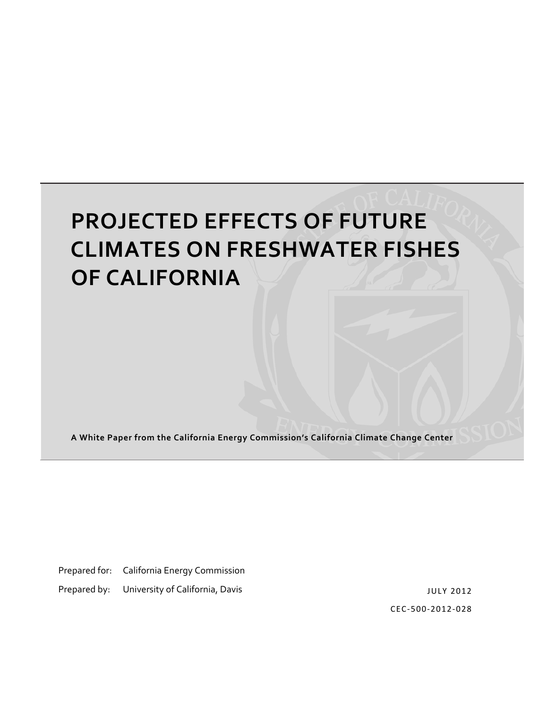# **PROJECTED EFFECTS OF FUTURE CLIMATES ON FRESHWATER FISHES OF CALIFORNIA**

**A White Paper from the California Energy Commission's California Climate Change Center**

Prepared for: California Energy Commission

Prepared by: University of California, Davis

JULY 2012 CEC‐500‐2012‐028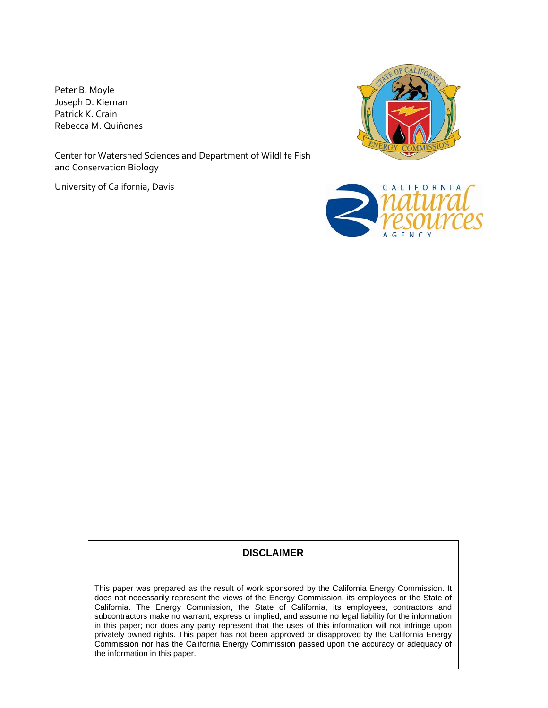Peter B. Moyle Joseph D. Kiernan Patrick K. Crain Rebecca M. Quiñones

Center for Watershed Sciences and Department of Wildlife Fish and Conservation Biology

University of California, Davis





#### **DISCLAIMER**

This paper was prepared as the result of work sponsored by the California Energy Commission. It does not necessarily represent the views of the Energy Commission, its employees or the State of California. The Energy Commission, the State of California, its employees, contractors and subcontractors make no warrant, express or implied, and assume no legal liability for the information in this paper; nor does any party represent that the uses of this information will not infringe upon privately owned rights. This paper has not been approved or disapproved by the California Energy Commission nor has the California Energy Commission passed upon the accuracy or adequacy of the information in this paper.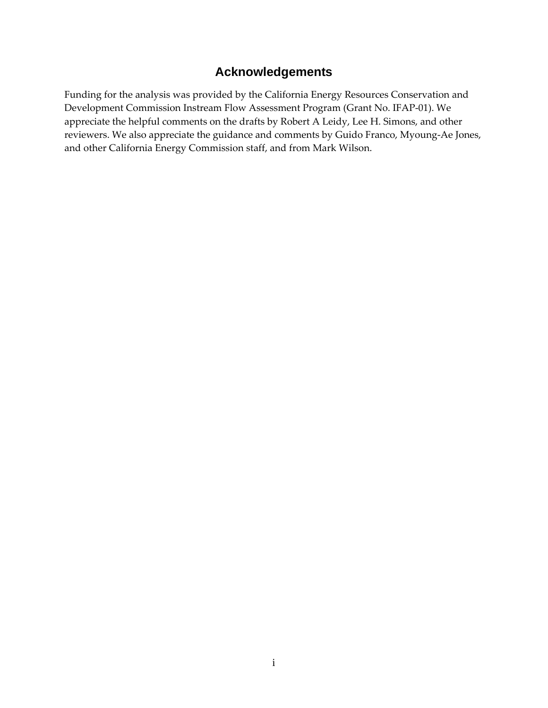### **Acknowledgements**

Funding for the analysis was provided by the California Energy Resources Conservation and Development Commission Instream Flow Assessment Program (Grant No. IFAP‐01). We appreciate the helpful comments on the drafts by Robert A Leidy, Lee H. Simons, and other reviewers. We also appreciate the guidance and comments by Guido Franco, Myoung‐Ae Jones, and other California Energy Commission staff, and from Mark Wilson.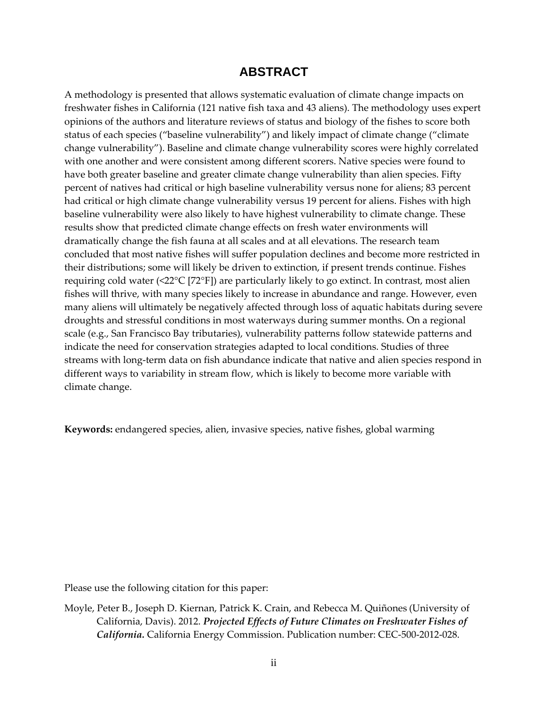#### **ABSTRACT**

A methodology is presented that allows systematic evaluation of climate change impacts on freshwater fishes in California (121 native fish taxa and 43 aliens). The methodology uses expert opinions of the authors and literature reviews of status and biology of the fishes to score both status of each species ("baseline vulnerability") and likely impact of climate change ("climate change vulnerability"). Baseline and climate change vulnerability scores were highly correlated with one another and were consistent among different scorers. Native species were found to have both greater baseline and greater climate change vulnerability than alien species. Fifty percent of natives had critical or high baseline vulnerability versus none for aliens; 83 percent had critical or high climate change vulnerability versus 19 percent for aliens. Fishes with high baseline vulnerability were also likely to have highest vulnerability to climate change. These results show that predicted climate change effects on fresh water environments will dramatically change the fish fauna at all scales and at all elevations. The research team concluded that most native fishes will suffer population declines and become more restricted in their distributions; some will likely be driven to extinction, if present trends continue. Fishes requiring cold water (<22°C [72°F]) are particularly likely to go extinct. In contrast, most alien fishes will thrive, with many species likely to increase in abundance and range. However, even many aliens will ultimately be negatively affected through loss of aquatic habitats during severe droughts and stressful conditions in most waterways during summer months. On a regional scale (e.g., San Francisco Bay tributaries), vulnerability patterns follow statewide patterns and indicate the need for conservation strategies adapted to local conditions. Studies of three streams with long-term data on fish abundance indicate that native and alien species respond in different ways to variability in stream flow, which is likely to become more variable with climate change.

**Keywords:** endangered species, alien, invasive species, native fishes, global warming

Please use the following citation for this paper:

Moyle, Peter B., Joseph D. Kiernan, Patrick K. Crain, and Rebecca M. Quiñones (University of California, Davis). 2012. *Projected Effects of Future Climates on Freshwater Fishes of California.* California Energy Commission. Publication number: CEC‐500‐2012‐028.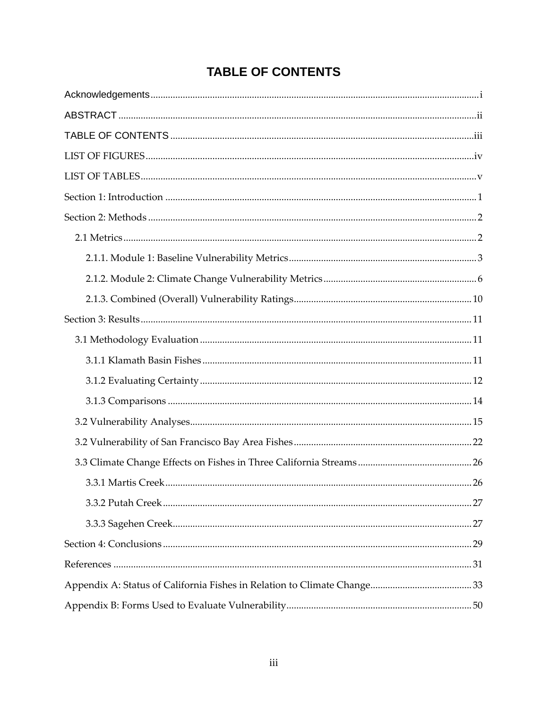### **TABLE OF CONTENTS**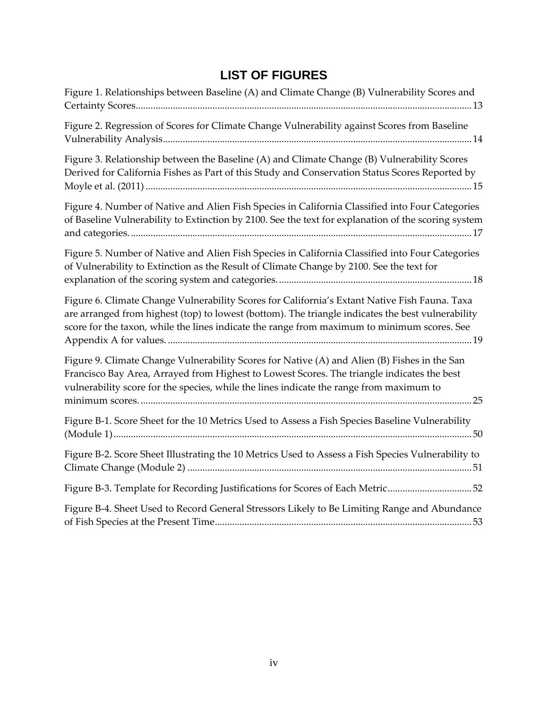### **LIST OF FIGURES**

| Figure 1. Relationships between Baseline (A) and Climate Change (B) Vulnerability Scores and                                                                                                                                                                                                      |
|---------------------------------------------------------------------------------------------------------------------------------------------------------------------------------------------------------------------------------------------------------------------------------------------------|
| Figure 2. Regression of Scores for Climate Change Vulnerability against Scores from Baseline                                                                                                                                                                                                      |
| Figure 3. Relationship between the Baseline (A) and Climate Change (B) Vulnerability Scores<br>Derived for California Fishes as Part of this Study and Conservation Status Scores Reported by                                                                                                     |
| Figure 4. Number of Native and Alien Fish Species in California Classified into Four Categories<br>of Baseline Vulnerability to Extinction by 2100. See the text for explanation of the scoring system                                                                                            |
| Figure 5. Number of Native and Alien Fish Species in California Classified into Four Categories<br>of Vulnerability to Extinction as the Result of Climate Change by 2100. See the text for                                                                                                       |
| Figure 6. Climate Change Vulnerability Scores for California's Extant Native Fish Fauna. Taxa<br>are arranged from highest (top) to lowest (bottom). The triangle indicates the best vulnerability<br>score for the taxon, while the lines indicate the range from maximum to minimum scores. See |
| Figure 9. Climate Change Vulnerability Scores for Native (A) and Alien (B) Fishes in the San<br>Francisco Bay Area, Arrayed from Highest to Lowest Scores. The triangle indicates the best<br>vulnerability score for the species, while the lines indicate the range from maximum to             |
| Figure B-1. Score Sheet for the 10 Metrics Used to Assess a Fish Species Baseline Vulnerability                                                                                                                                                                                                   |
| Figure B-2. Score Sheet Illustrating the 10 Metrics Used to Assess a Fish Species Vulnerability to                                                                                                                                                                                                |
| Figure B-3. Template for Recording Justifications for Scores of Each Metric52                                                                                                                                                                                                                     |
| Figure B-4. Sheet Used to Record General Stressors Likely to Be Limiting Range and Abundance                                                                                                                                                                                                      |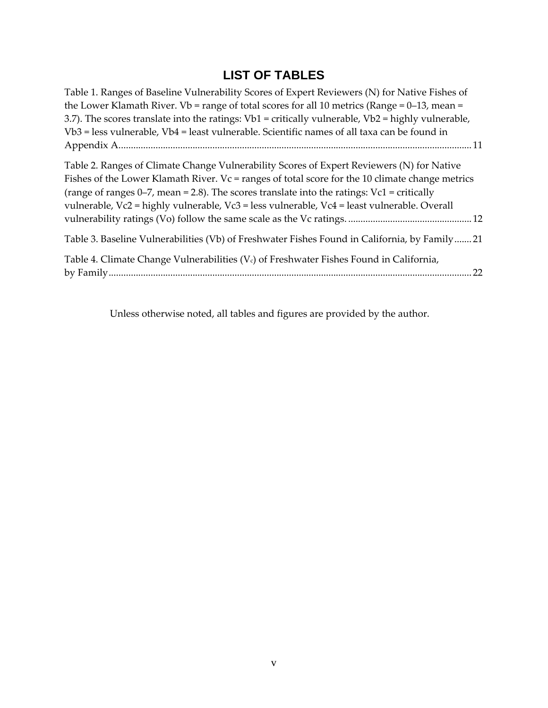### **LIST OF TABLES**

| Table 1. Ranges of Baseline Vulnerability Scores of Expert Reviewers (N) for Native Fishes of<br>the Lower Klamath River. Vb = range of total scores for all 10 metrics (Range = $0-13$ , mean =<br>3.7). The scores translate into the ratings: $Vb1$ = critically vulnerable, $Vb2$ = highly vulnerable,<br>$Vb3$ = less vulnerable, $Vb4$ = least vulnerable. Scientific names of all taxa can be found in |
|---------------------------------------------------------------------------------------------------------------------------------------------------------------------------------------------------------------------------------------------------------------------------------------------------------------------------------------------------------------------------------------------------------------|
|                                                                                                                                                                                                                                                                                                                                                                                                               |
| Table 2. Ranges of Climate Change Vulnerability Scores of Expert Reviewers (N) for Native<br>Fishes of the Lower Klamath River. Vc = ranges of total score for the 10 climate change metrics<br>(range of ranges $0-7$ , mean = 2.8). The scores translate into the ratings: $Vc1 = critically$<br>vulnerable, Vc2 = highly vulnerable, Vc3 = less vulnerable, Vc4 = least vulnerable. Overall                |
| Table 3. Baseline Vulnerabilities (Vb) of Freshwater Fishes Found in California, by Family21                                                                                                                                                                                                                                                                                                                  |
| Table 4. Climate Change Vulnerabilities (V <sub>c</sub> ) of Freshwater Fishes Found in California,                                                                                                                                                                                                                                                                                                           |

Unless otherwise noted, all tables and figures are provided by the author.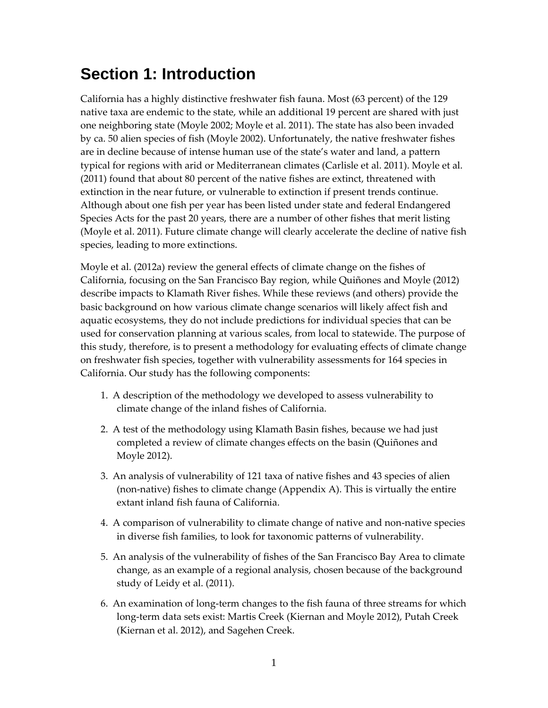## **Section 1: Introduction**

California has a highly distinctive freshwater fish fauna. Most (63 percent) of the 129 native taxa are endemic to the state, while an additional 19 percent are shared with just one neighboring state (Moyle 2002; Moyle et al. 2011). The state has also been invaded by ca. 50 alien species of fish (Moyle 2002). Unfortunately, the native freshwater fishes are in decline because of intense human use of the state's water and land, a pattern typical for regions with arid or Mediterranean climates (Carlisle et al. 2011). Moyle et al. (2011) found that about 80 percent of the native fishes are extinct, threatened with extinction in the near future, or vulnerable to extinction if present trends continue. Although about one fish per year has been listed under state and federal Endangered Species Acts for the past 20 years, there are a number of other fishes that merit listing (Moyle et al. 2011). Future climate change will clearly accelerate the decline of native fish species, leading to more extinctions.

Moyle et al. (2012a) review the general effects of climate change on the fishes of California, focusing on the San Francisco Bay region, while Quiñones and Moyle (2012) describe impacts to Klamath River fishes. While these reviews (and others) provide the basic background on how various climate change scenarios will likely affect fish and aquatic ecosystems, they do not include predictions for individual species that can be used for conservation planning at various scales, from local to statewide. The purpose of this study, therefore, is to present a methodology for evaluating effects of climate change on freshwater fish species, together with vulnerability assessments for 164 species in California. Our study has the following components:

- 1. A description of the methodology we developed to assess vulnerability to climate change of the inland fishes of California.
- 2. A test of the methodology using Klamath Basin fishes, because we had just completed a review of climate changes effects on the basin (Quiñones and Moyle 2012).
- 3. An analysis of vulnerability of 121 taxa of native fishes and 43 species of alien (non‐native) fishes to climate change (Appendix A). This is virtually the entire extant inland fish fauna of California.
- 4. A comparison of vulnerability to climate change of native and non‐native species in diverse fish families, to look for taxonomic patterns of vulnerability.
- 5. An analysis of the vulnerability of fishes of the San Francisco Bay Area to climate change, as an example of a regional analysis, chosen because of the background study of Leidy et al. (2011).
- 6. An examination of long‐term changes to the fish fauna of three streams for which long‐term data sets exist: Martis Creek (Kiernan and Moyle 2012), Putah Creek (Kiernan et al. 2012), and Sagehen Creek.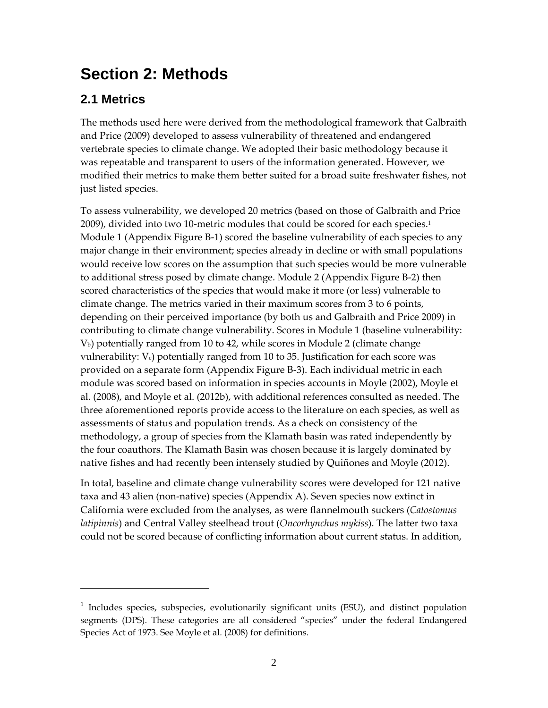## **Section 2: Methods**

<u> 1989 - Johann Barn, mars ar breithinn ar chuid ann an t-</u>

### **2.1 Metrics**

The methods used here were derived from the methodological framework that Galbraith and Price (2009) developed to assess vulnerability of threatened and endangered vertebrate species to climate change. We adopted their basic methodology because it was repeatable and transparent to users of the information generated. However, we modified their metrics to make them better suited for a broad suite freshwater fishes, not just listed species.

To assess vulnerability, we developed 20 metrics (based on those of Galbraith and Price 2009), divided into two 10-metric modules that could be scored for each species.<sup>1</sup> Module 1 (Appendix Figure B-1) scored the baseline vulnerability of each species to any major change in their environment; species already in decline or with small populations would receive low scores on the assumption that such species would be more vulnerable to additional stress posed by climate change. Module 2 (Appendix Figure B‐2) then scored characteristics of the species that would make it more (or less) vulnerable to climate change. The metrics varied in their maximum scores from 3 to 6 points, depending on their perceived importance (by both us and Galbraith and Price 2009) in contributing to climate change vulnerability. Scores in Module 1 (baseline vulnerability: Vb) potentially ranged from 10 to 42, while scores in Module 2 (climate change vulnerability:  $V_c$ ) potentially ranged from 10 to 35. Justification for each score was provided on a separate form (Appendix Figure B‐3). Each individual metric in each module was scored based on information in species accounts in Moyle (2002), Moyle et al. (2008), and Moyle et al. (2012b), with additional references consulted as needed. The three aforementioned reports provide access to the literature on each species, as well as assessments of status and population trends. As a check on consistency of the methodology, a group of species from the Klamath basin was rated independently by the four coauthors. The Klamath Basin was chosen because it is largely dominated by native fishes and had recently been intensely studied by Quiñones and Moyle (2012).

In total, baseline and climate change vulnerability scores were developed for 121 native taxa and 43 alien (non‐native) species (Appendix A). Seven species now extinct in California were excluded from the analyses, as were flannelmouth suckers (*Catostomus latipinnis*) and Central Valley steelhead trout (*Oncorhynchus mykiss*). The latter two taxa could not be scored because of conflicting information about current status. In addition,

 $1$  Includes species, subspecies, evolutionarily significant units (ESU), and distinct population segments (DPS). These categories are all considered "species" under the federal Endangered Species Act of 1973. See Moyle et al. (2008) for definitions.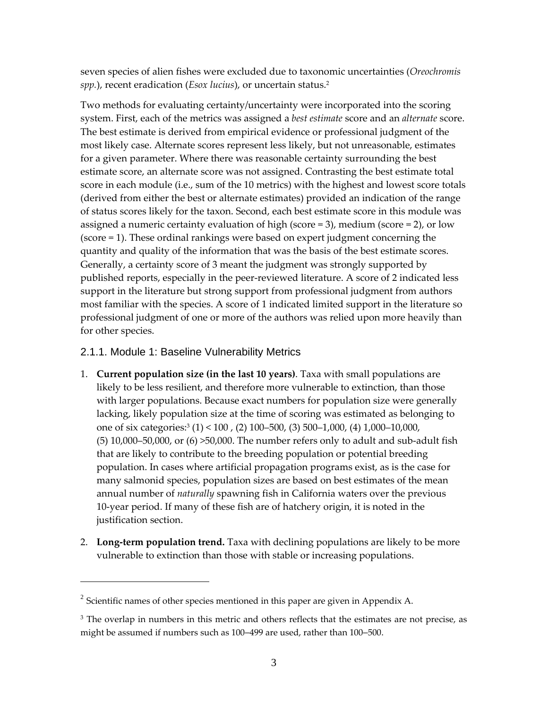seven species of alien fishes were excluded due to taxonomic uncertainties (*Oreochromis spp.*), recent eradication (*Esox lucius*), or uncertain status.2

Two methods for evaluating certainty/uncertainty were incorporated into the scoring system. First, each of the metrics was assigned a *best estimate* score and an *alternate* score. The best estimate is derived from empirical evidence or professional judgment of the most likely case. Alternate scores represent less likely, but not unreasonable, estimates for a given parameter. Where there was reasonable certainty surrounding the best estimate score, an alternate score was not assigned. Contrasting the best estimate total score in each module (i.e., sum of the 10 metrics) with the highest and lowest score totals (derived from either the best or alternate estimates) provided an indication of the range of status scores likely for the taxon. Second, each best estimate score in this module was assigned a numeric certainty evaluation of high (score  $=$  3), medium (score  $=$  2), or low (score = 1). These ordinal rankings were based on expert judgment concerning the quantity and quality of the information that was the basis of the best estimate scores. Generally, a certainty score of 3 meant the judgment was strongly supported by published reports, especially in the peer‐reviewed literature. A score of 2 indicated less support in the literature but strong support from professional judgment from authors most familiar with the species. A score of 1 indicated limited support in the literature so professional judgment of one or more of the authors was relied upon more heavily than for other species.

#### 2.1.1. Module 1: Baseline Vulnerability Metrics

<u> 1989 - Johann Stein, marwolaethau a bh</u>

- 1. **Current population size (in the last 10 years)**. Taxa with small populations are likely to be less resilient, and therefore more vulnerable to extinction, than those with larger populations. Because exact numbers for population size were generally lacking, likely population size at the time of scoring was estimated as belonging to one of six categories:3 (1) < 100 , (2) 100–500, (3) 500–1,000, (4) 1,000–10,000,  $(5)$  10,000–50,000, or  $(6)$  >50,000. The number refers only to adult and sub-adult fish that are likely to contribute to the breeding population or potential breeding population. In cases where artificial propagation programs exist, as is the case for many salmonid species, population sizes are based on best estimates of the mean annual number of *naturally* spawning fish in California waters over the previous 10‐year period. If many of these fish are of hatchery origin, it is noted in the justification section.
- 2. **Long‐term population trend.** Taxa with declining populations are likely to be more vulnerable to extinction than those with stable or increasing populations.

 $2$  Scientific names of other species mentioned in this paper are given in Appendix A.

<sup>&</sup>lt;sup>3</sup> The overlap in numbers in this metric and others reflects that the estimates are not precise, as might be assumed if numbers such as 100–499 are used, rather than 100–500.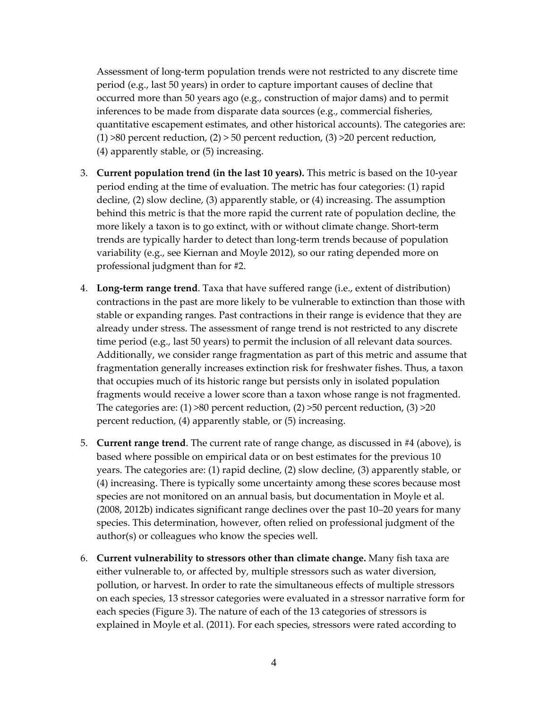Assessment of long‐term population trends were not restricted to any discrete time period (e.g., last 50 years) in order to capture important causes of decline that occurred more than 50 years ago (e.g., construction of major dams) and to permit inferences to be made from disparate data sources (e.g., commercial fisheries, quantitative escapement estimates, and other historical accounts). The categories are:  $(1)$  >80 percent reduction,  $(2)$  > 50 percent reduction,  $(3)$  >20 percent reduction, (4) apparently stable, or (5) increasing.

- 3. **Current population trend (in the last 10 years).** This metric is based on the 10‐year period ending at the time of evaluation. The metric has four categories: (1) rapid decline, (2) slow decline, (3) apparently stable, or (4) increasing. The assumption behind this metric is that the more rapid the current rate of population decline, the more likely a taxon is to go extinct, with or without climate change. Short‐term trends are typically harder to detect than long‐term trends because of population variability (e.g., see Kiernan and Moyle 2012), so our rating depended more on professional judgment than for #2.
- 4. **Long‐term range trend**. Taxa that have suffered range (i.e., extent of distribution) contractions in the past are more likely to be vulnerable to extinction than those with stable or expanding ranges. Past contractions in their range is evidence that they are already under stress. The assessment of range trend is not restricted to any discrete time period (e.g., last 50 years) to permit the inclusion of all relevant data sources. Additionally, we consider range fragmentation as part of this metric and assume that fragmentation generally increases extinction risk for freshwater fishes. Thus, a taxon that occupies much of its historic range but persists only in isolated population fragments would receive a lower score than a taxon whose range is not fragmented. The categories are:  $(1) >80$  percent reduction,  $(2) >50$  percent reduction,  $(3) >20$ percent reduction, (4) apparently stable, or (5) increasing.
- 5. **Current range trend**. The current rate of range change, as discussed in #4 (above), is based where possible on empirical data or on best estimates for the previous 10 years. The categories are: (1) rapid decline, (2) slow decline, (3) apparently stable, or (4) increasing. There is typically some uncertainty among these scores because most species are not monitored on an annual basis, but documentation in Moyle et al. (2008, 2012b) indicates significant range declines over the past 10–20 years for many species. This determination, however, often relied on professional judgment of the author(s) or colleagues who know the species well.
- 6. **Current vulnerability to stressors other than climate change.** Many fish taxa are either vulnerable to, or affected by, multiple stressors such as water diversion, pollution, or harvest. In order to rate the simultaneous effects of multiple stressors on each species, 13 stressor categories were evaluated in a stressor narrative form for each species (Figure 3). The nature of each of the 13 categories of stressors is explained in Moyle et al. (2011). For each species, stressors were rated according to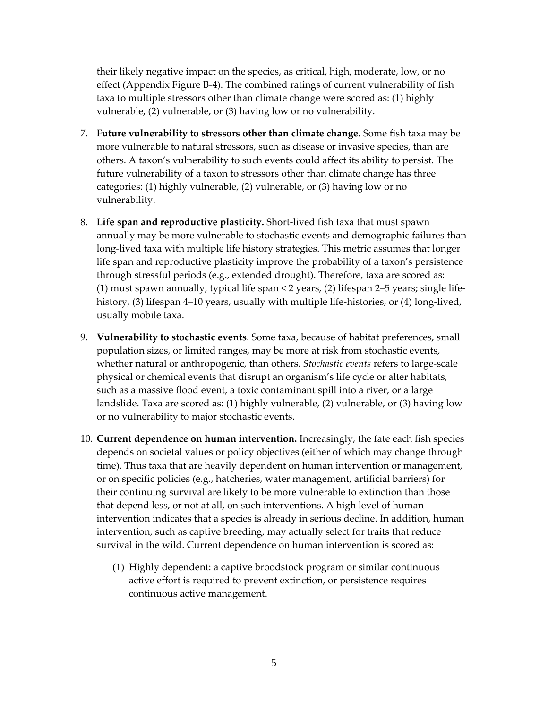their likely negative impact on the species, as critical, high, moderate, low, or no effect (Appendix Figure B‐4). The combined ratings of current vulnerability of fish taxa to multiple stressors other than climate change were scored as: (1) highly vulnerable, (2) vulnerable, or (3) having low or no vulnerability.

- 7. **Future vulnerability to stressors other than climate change.** Some fish taxa may be more vulnerable to natural stressors, such as disease or invasive species, than are others. A taxon's vulnerability to such events could affect its ability to persist. The future vulnerability of a taxon to stressors other than climate change has three categories: (1) highly vulnerable, (2) vulnerable, or (3) having low or no vulnerability.
- 8. **Life span and reproductive plasticity.** Short‐lived fish taxa that must spawn annually may be more vulnerable to stochastic events and demographic failures than long‐lived taxa with multiple life history strategies. This metric assumes that longer life span and reproductive plasticity improve the probability of a taxon's persistence through stressful periods (e.g., extended drought). Therefore, taxa are scored as: (1) must spawn annually, typical life span < 2 years, (2) lifespan 2–5 years; single life‐ history, (3) lifespan 4–10 years, usually with multiple life-histories, or (4) long-lived, usually mobile taxa.
- 9. **Vulnerability to stochastic events**. Some taxa, because of habitat preferences, small population sizes, or limited ranges, may be more at risk from stochastic events, whether natural or anthropogenic, than others. *Stochastic events* refers to large‐scale physical or chemical events that disrupt an organism's life cycle or alter habitats, such as a massive flood event, a toxic contaminant spill into a river, or a large landslide. Taxa are scored as: (1) highly vulnerable, (2) vulnerable, or (3) having low or no vulnerability to major stochastic events.
- 10. **Current dependence on human intervention.** Increasingly, the fate each fish species depends on societal values or policy objectives (either of which may change through time). Thus taxa that are heavily dependent on human intervention or management, or on specific policies (e.g., hatcheries, water management, artificial barriers) for their continuing survival are likely to be more vulnerable to extinction than those that depend less, or not at all, on such interventions. A high level of human intervention indicates that a species is already in serious decline. In addition, human intervention, such as captive breeding, may actually select for traits that reduce survival in the wild. Current dependence on human intervention is scored as:
	- (1) Highly dependent: a captive broodstock program or similar continuous active effort is required to prevent extinction, or persistence requires continuous active management.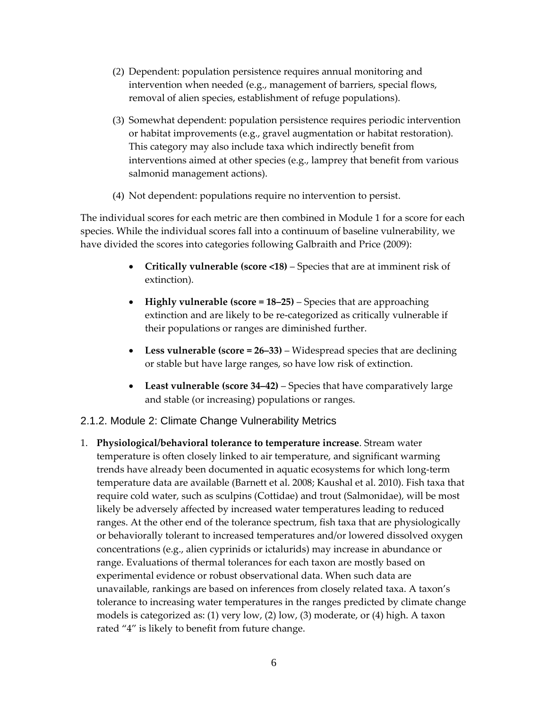- (2) Dependent: population persistence requires annual monitoring and intervention when needed (e.g., management of barriers, special flows, removal of alien species, establishment of refuge populations).
- (3) Somewhat dependent: population persistence requires periodic intervention or habitat improvements (e.g., gravel augmentation or habitat restoration). This category may also include taxa which indirectly benefit from interventions aimed at other species (e.g., lamprey that benefit from various salmonid management actions).
- (4) Not dependent: populations require no intervention to persist.

The individual scores for each metric are then combined in Module 1 for a score for each species. While the individual scores fall into a continuum of baseline vulnerability, we have divided the scores into categories following Galbraith and Price (2009):

- **Critically vulnerable (score <18)** Species that are at imminent risk of extinction).
- **Highly vulnerable (score = 18–25)** Species that are approaching extinction and are likely to be re‐categorized as critically vulnerable if their populations or ranges are diminished further.
- **Less vulnerable (score = 26–33)** Widespread species that are declining or stable but have large ranges, so have low risk of extinction.
- **Least vulnerable (score 34–42)** Species that have comparatively large and stable (or increasing) populations or ranges.

#### 2.1.2. Module 2: Climate Change Vulnerability Metrics

1. **Physiological/behavioral tolerance to temperature increase**. Stream water temperature is often closely linked to air temperature, and significant warming trends have already been documented in aquatic ecosystems for which long‐term temperature data are available (Barnett et al. 2008; Kaushal et al. 2010). Fish taxa that require cold water, such as sculpins (Cottidae) and trout (Salmonidae), will be most likely be adversely affected by increased water temperatures leading to reduced ranges. At the other end of the tolerance spectrum, fish taxa that are physiologically or behaviorally tolerant to increased temperatures and/or lowered dissolved oxygen concentrations (e.g., alien cyprinids or ictalurids) may increase in abundance or range. Evaluations of thermal tolerances for each taxon are mostly based on experimental evidence or robust observational data. When such data are unavailable, rankings are based on inferences from closely related taxa. A taxon's tolerance to increasing water temperatures in the ranges predicted by climate change models is categorized as: (1) very low, (2) low, (3) moderate, or (4) high. A taxon rated "4" is likely to benefit from future change.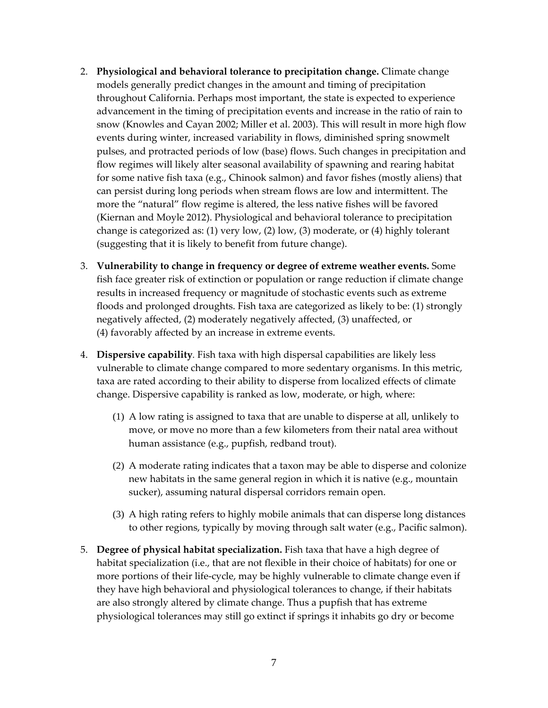- 2. **Physiological and behavioral tolerance to precipitation change.** Climate change models generally predict changes in the amount and timing of precipitation throughout California. Perhaps most important, the state is expected to experience advancement in the timing of precipitation events and increase in the ratio of rain to snow (Knowles and Cayan 2002; Miller et al. 2003). This will result in more high flow events during winter, increased variability in flows, diminished spring snowmelt pulses, and protracted periods of low (base) flows. Such changes in precipitation and flow regimes will likely alter seasonal availability of spawning and rearing habitat for some native fish taxa (e.g., Chinook salmon) and favor fishes (mostly aliens) that can persist during long periods when stream flows are low and intermittent. The more the "natural" flow regime is altered, the less native fishes will be favored (Kiernan and Moyle 2012). Physiological and behavioral tolerance to precipitation change is categorized as: (1) very low, (2) low, (3) moderate, or (4) highly tolerant (suggesting that it is likely to benefit from future change).
- 3. **Vulnerability to change in frequency or degree of extreme weather events.** Some fish face greater risk of extinction or population or range reduction if climate change results in increased frequency or magnitude of stochastic events such as extreme floods and prolonged droughts. Fish taxa are categorized as likely to be: (1) strongly negatively affected, (2) moderately negatively affected, (3) unaffected, or (4) favorably affected by an increase in extreme events.
- 4. **Dispersive capability***.* Fish taxa with high dispersal capabilities are likely less vulnerable to climate change compared to more sedentary organisms. In this metric, taxa are rated according to their ability to disperse from localized effects of climate change. Dispersive capability is ranked as low, moderate, or high, where:
	- (1) A low rating is assigned to taxa that are unable to disperse at all, unlikely to move, or move no more than a few kilometers from their natal area without human assistance (e.g., pupfish, redband trout).
	- (2) A moderate rating indicates that a taxon may be able to disperse and colonize new habitats in the same general region in which it is native (e.g., mountain sucker), assuming natural dispersal corridors remain open.
	- (3) A high rating refers to highly mobile animals that can disperse long distances to other regions, typically by moving through salt water (e.g., Pacific salmon).
- 5. **Degree of physical habitat specialization.** Fish taxa that have a high degree of habitat specialization (i.e., that are not flexible in their choice of habitats) for one or more portions of their life-cycle, may be highly vulnerable to climate change even if they have high behavioral and physiological tolerances to change, if their habitats are also strongly altered by climate change. Thus a pupfish that has extreme physiological tolerances may still go extinct if springs it inhabits go dry or become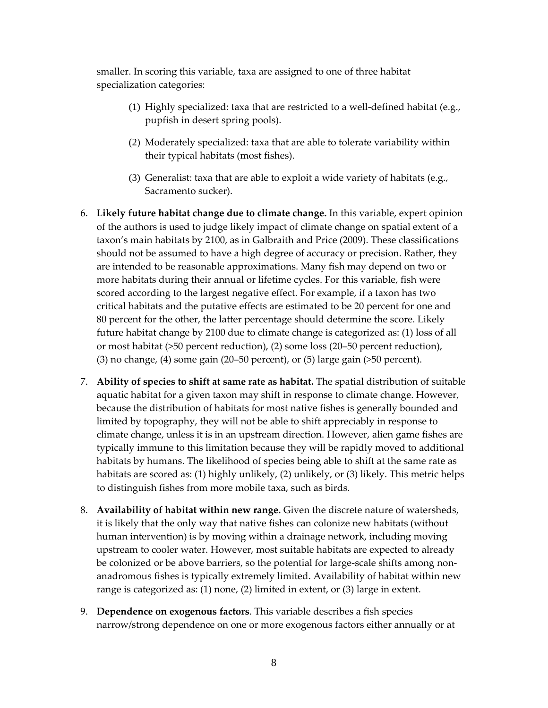smaller. In scoring this variable, taxa are assigned to one of three habitat specialization categories:

- (1) Highly specialized: taxa that are restricted to a well‐defined habitat (e.g., pupfish in desert spring pools).
- (2) Moderately specialized: taxa that are able to tolerate variability within their typical habitats (most fishes).
- (3) Generalist: taxa that are able to exploit a wide variety of habitats (e.g., Sacramento sucker).
- 6. **Likely future habitat change due to climate change.** In this variable, expert opinion of the authors is used to judge likely impact of climate change on spatial extent of a taxon's main habitats by 2100, as in Galbraith and Price (2009). These classifications should not be assumed to have a high degree of accuracy or precision. Rather, they are intended to be reasonable approximations. Many fish may depend on two or more habitats during their annual or lifetime cycles. For this variable, fish were scored according to the largest negative effect. For example, if a taxon has two critical habitats and the putative effects are estimated to be 20 percent for one and 80 percent for the other, the latter percentage should determine the score. Likely future habitat change by 2100 due to climate change is categorized as: (1) loss of all or most habitat (>50 percent reduction), (2) some loss (20–50 percent reduction), (3) no change, (4) some gain (20–50 percent), or (5) large gain (>50 percent).
- 7. **Ability of species to shift at same rate as habitat.** The spatial distribution of suitable aquatic habitat for a given taxon may shift in response to climate change. However, because the distribution of habitats for most native fishes is generally bounded and limited by topography, they will not be able to shift appreciably in response to climate change, unless it is in an upstream direction. However, alien game fishes are typically immune to this limitation because they will be rapidly moved to additional habitats by humans. The likelihood of species being able to shift at the same rate as habitats are scored as: (1) highly unlikely, (2) unlikely, or (3) likely. This metric helps to distinguish fishes from more mobile taxa, such as birds.
- 8. **Availability of habitat within new range.** Given the discrete nature of watersheds, it is likely that the only way that native fishes can colonize new habitats (without human intervention) is by moving within a drainage network, including moving upstream to cooler water. However, most suitable habitats are expected to already be colonized or be above barriers, so the potential for large-scale shifts among nonanadromous fishes is typically extremely limited. Availability of habitat within new range is categorized as: (1) none, (2) limited in extent, or (3) large in extent.
- 9. **Dependence on exogenous factors**. This variable describes a fish species narrow/strong dependence on one or more exogenous factors either annually or at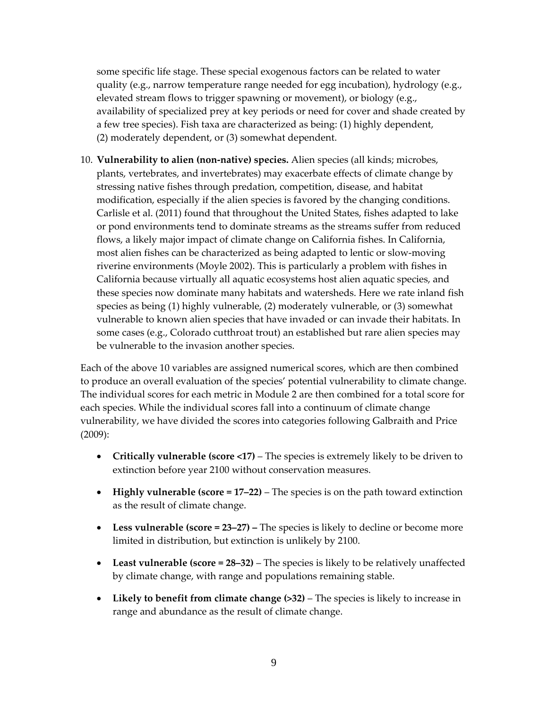some specific life stage. These special exogenous factors can be related to water quality (e.g., narrow temperature range needed for egg incubation), hydrology (e.g., elevated stream flows to trigger spawning or movement), or biology (e.g., availability of specialized prey at key periods or need for cover and shade created by a few tree species). Fish taxa are characterized as being: (1) highly dependent, (2) moderately dependent, or (3) somewhat dependent.

10. **Vulnerability to alien (non‐native) species.** Alien species (all kinds; microbes, plants, vertebrates, and invertebrates) may exacerbate effects of climate change by stressing native fishes through predation, competition, disease, and habitat modification, especially if the alien species is favored by the changing conditions. Carlisle et al. (2011) found that throughout the United States, fishes adapted to lake or pond environments tend to dominate streams as the streams suffer from reduced flows, a likely major impact of climate change on California fishes. In California, most alien fishes can be characterized as being adapted to lentic or slow‐moving riverine environments (Moyle 2002). This is particularly a problem with fishes in California because virtually all aquatic ecosystems host alien aquatic species, and these species now dominate many habitats and watersheds. Here we rate inland fish species as being (1) highly vulnerable, (2) moderately vulnerable, or (3) somewhat vulnerable to known alien species that have invaded or can invade their habitats. In some cases (e.g., Colorado cutthroat trout) an established but rare alien species may be vulnerable to the invasion another species.

Each of the above 10 variables are assigned numerical scores, which are then combined to produce an overall evaluation of the species' potential vulnerability to climate change. The individual scores for each metric in Module 2 are then combined for a total score for each species. While the individual scores fall into a continuum of climate change vulnerability, we have divided the scores into categories following Galbraith and Price (2009):

- **Critically vulnerable (score <17)** The species is extremely likely to be driven to extinction before year 2100 without conservation measures.
- **Highly vulnerable (score = 17–22)** The species is on the path toward extinction as the result of climate change.
- **Less vulnerable (score = 23–27) –** The species is likely to decline or become more limited in distribution, but extinction is unlikely by 2100.
- **Least vulnerable (score = 28–32)** The species is likely to be relatively unaffected by climate change, with range and populations remaining stable.
- **Likely to benefit from climate change (>32)** The species is likely to increase in range and abundance as the result of climate change.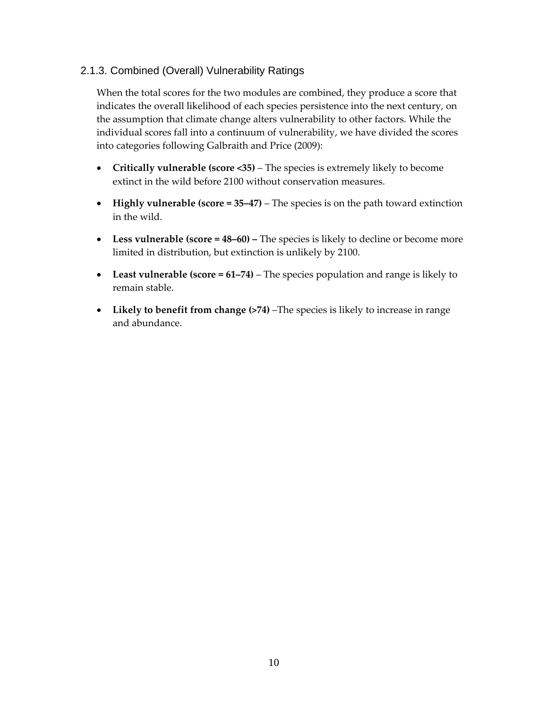#### 2.1.3. Combined (Overall) Vulnerability Ratings

When the total scores for the two modules are combined, they produce a score that indicates the overall likelihood of each species persistence into the next century, on the assumption that climate change alters vulnerability to other factors. While the individual scores fall into a continuum of vulnerability, we have divided the scores into categories following Galbraith and Price (2009):

- **Critically vulnerable (score <35)** The species is extremely likely to become extinct in the wild before 2100 without conservation measures.
- **Highly vulnerable (score = 35–47)** The species is on the path toward extinction in the wild.
- **Less vulnerable (score = 48–60) –** The species is likely to decline or become more limited in distribution, but extinction is unlikely by 2100.
- **Least vulnerable (score = 61–74)** The species population and range is likely to remain stable.
- **Likely to benefit from change (>74)** –The species is likely to increase in range and abundance.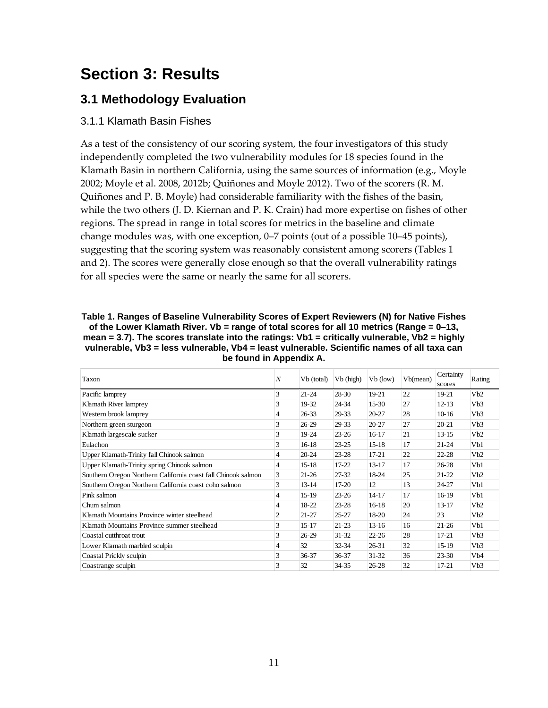## **Section 3: Results**

### **3.1 Methodology Evaluation**

#### 3.1.1 Klamath Basin Fishes

As a test of the consistency of our scoring system, the four investigators of this study independently completed the two vulnerability modules for 18 species found in the Klamath Basin in northern California, using the same sources of information (e.g., Moyle 2002; Moyle et al. 2008, 2012b; Quiñones and Moyle 2012). Two of the scorers (R. M. Quiñones and P. B. Moyle) had considerable familiarity with the fishes of the basin, while the two others (J. D. Kiernan and P. K. Crain) had more expertise on fishes of other regions. The spread in range in total scores for metrics in the baseline and climate change modules was, with one exception, 0–7 points (out of a possible 10–45 points), suggesting that the scoring system was reasonably consistent among scorers (Tables 1 and 2). The scores were generally close enough so that the overall vulnerability ratings for all species were the same or nearly the same for all scorers.

| Table 1. Ranges of Baseline Vulnerability Scores of Expert Reviewers (N) for Native Fishes        |
|---------------------------------------------------------------------------------------------------|
| of the Lower Klamath River. Vb = range of total scores for all 10 metrics (Range = $0-13$ ,       |
| mean = 3.7). The scores translate into the ratings: $Vb1$ = critically vulnerable, $Vb2$ = highly |
| vulnerable. Vb3 = less vulnerable. Vb4 = least vulnerable. Scientific names of all taxa can       |
| be found in Appendix A.                                                                           |

| Taxon                                                         | $\overline{N}$ | Vb (total) | Vb (high) | $Vb$ (low) | Vb(mean) | Certainty<br>scores | Rating           |
|---------------------------------------------------------------|----------------|------------|-----------|------------|----------|---------------------|------------------|
| Pacific lamprey                                               | 3              | $21 - 24$  | 28-30     | 19-21      | 22       | 19-21               | Vb2              |
| Klamath River lamprey                                         | 3              | 19-32      | 24-34     | $15-30$    | 27       | $12 - 13$           | Vb3              |
| Western brook lamprey                                         | 4              | $26 - 33$  | 29-33     | $20 - 27$  | 28       | $10-16$             | Vb3              |
| Northern green sturgeon                                       | 3              | $26-29$    | 29-33     | $20 - 27$  | 27       | $20 - 21$           | Vb3              |
| Klamath largescale sucker                                     | 3              | 19-24      | $23 - 26$ | $16-17$    | 21       | $13 - 15$           | Vb2              |
| Eulachon                                                      | 3              | $16-18$    | $23 - 25$ | $15 - 18$  | 17       | $21 - 24$           | Vb1              |
| Upper Klamath-Trinity fall Chinook salmon                     | 4              | $20 - 24$  | $23 - 28$ | $17 - 21$  | 22       | $22 - 28$           | Vb2              |
| Upper Klamath-Trinity spring Chinook salmon                   | $\overline{4}$ | $15-18$    | $17 - 22$ | $13 - 17$  | 17       | $26 - 28$           | Vb1              |
| Southern Oregon Northern California coast fall Chinook salmon | 3              | $21 - 26$  | 27-32     | 18-24      | 25       | $21-22$             | Vb2              |
| Southern Oregon Northern California coast coho salmon         | 3              | $13 - 14$  | $17-20$   | 12         | 13       | $24 - 27$           | Vb1              |
| Pink salmon                                                   | $\overline{4}$ | 15-19      | $23 - 26$ | $14 - 17$  | 17       | $16-19$             | Vb1              |
| Chum salmon                                                   | 4              | 18-22      | $23 - 28$ | $16-18$    | 20       | $13 - 17$           | Vb2              |
| Klamath Mountains Province winter steelhead                   | $\overline{2}$ | $21 - 27$  | $25 - 27$ | 18-20      | 24       | 23                  | Vb2              |
| Klamath Mountains Province summer steelhead                   | 3              | 15-17      | $21 - 23$ | $13 - 16$  | 16       | $21-26$             | Vb1              |
| Coastal cutthroat trout                                       | 3              | $26-29$    | $31 - 32$ | $22 - 26$  | 28       | $17 - 21$           | Vb3              |
| Lower Klamath marbled sculpin                                 | 4              | 32         | $32 - 34$ | $26 - 31$  | 32       | $15-19$             | Vb3              |
| Coastal Prickly sculpin                                       | 3              | $36 - 37$  | 36-37     | $31 - 32$  | 36       | $23 - 30$           | V <sub>b</sub> 4 |
| Coastrange sculpin                                            | 3              | 32         | 34-35     | $26 - 28$  | 32       | $17 - 21$           | V <sub>b</sub> 3 |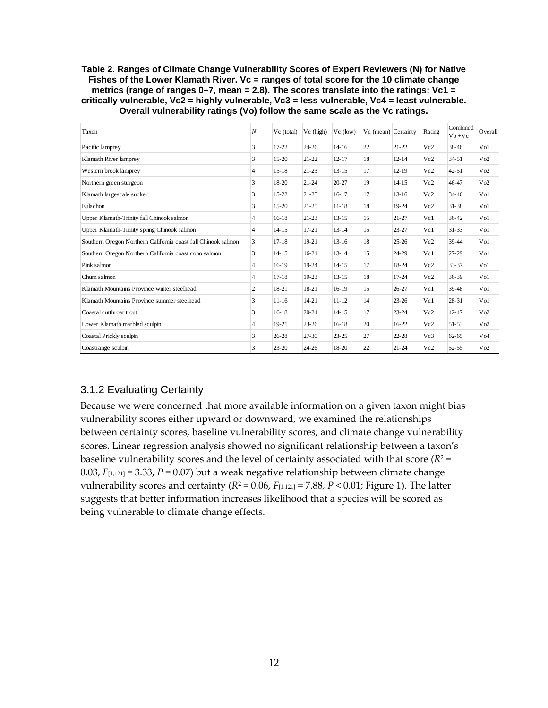#### **Table 2. Ranges of Climate Change Vulnerability Scores of Expert Reviewers (N) for Native Fishes of the Lower Klamath River. Vc = ranges of total score for the 10 climate change metrics (range of ranges 0–7, mean = 2.8). The scores translate into the ratings: Vc1 = critically vulnerable, Vc2 = highly vulnerable, Vc3 = less vulnerable, Vc4 = least vulnerable. Overall vulnerability ratings (Vo) follow the same scale as the Vc ratings.**

| Taxon                                                         | $\overline{N}$ | Vc (total) | Vc (high) | $Vc$ (low) | Vc (mean) Certainty |           | Rating | Combined<br>$Vb + Vc$ | Overall         |
|---------------------------------------------------------------|----------------|------------|-----------|------------|---------------------|-----------|--------|-----------------------|-----------------|
| Pacific lamprey                                               | 3              | $17 - 22$  | $24 - 26$ | $14 - 16$  | 22                  | $21 - 22$ | Vc2    | 38-46                 | Vol             |
| Klamath River lamprey                                         | 3              | $15-20$    | $21 - 22$ | $12 - 17$  | 18                  | $12 - 14$ | Vc2    | $34 - 51$             | Vo2             |
| Western brook lamprey                                         | 4              | $15 - 18$  | $21 - 23$ | $13 - 15$  | 17                  | $12 - 19$ | Vc2    | $42 - 51$             | Vo2             |
| Northern green sturgeon                                       | 3              | 18-20      | $21 - 24$ | $20 - 27$  | 19                  | $14 - 15$ | Vc2    | 46-47                 | Vo2             |
| Klamath largescale sucker                                     | 3              | $15 - 22$  | $21 - 25$ | $16 - 17$  | 17                  | $13 - 16$ | Vc2    | 34-46                 | Vo1             |
| Eulachon                                                      | 3              | $15-20$    | $21 - 25$ | $11 - 18$  | 18                  | 19-24     | Vc2    | 31-38                 | Vo1             |
| Upper Klamath-Trinity fall Chinook salmon                     | $\overline{4}$ | $16-18$    | $21 - 23$ | $13 - 15$  | 15                  | $21 - 27$ | Vc1    | 36-42                 | Vo1             |
| Upper Klamath-Trinity spring Chinook salmon                   | $\overline{4}$ | $14 - 15$  | $17 - 21$ | $13 - 14$  | 15                  | $23 - 27$ | Vc1    | $31 - 33$             | Vo1             |
| Southern Oregon Northern California coast fall Chinook salmon | 3              | $17 - 18$  | 19-21     | $13 - 16$  | 18                  | $25 - 26$ | Vc2    | 39-44                 | Vo1             |
| Southern Oregon Northern California coast coho salmon         | 3              | $14 - 15$  | $16-21$   | $13 - 14$  | 15                  | 24-29     | Vc1    | $27-29$               | Vo1             |
| Pink salmon                                                   | 4              | $16-19$    | 19-24     | $14 - 15$  | 17                  | 18-24     | Vc2    | 33-37                 | Vol             |
| Chum salmon                                                   | 4              | $17 - 18$  | $19-23$   | $13 - 15$  | 18                  | $17 - 24$ | Vc2    | 36-39                 | Vo1             |
| Klamath Mountains Province winter steelhead                   | 2              | 18-21      | 18-21     | $16-19$    | 15                  | $26 - 27$ | Vc1    | 39-48                 | Vo1             |
| Klamath Mountains Province summer steelhead                   | 3              | $11-16$    | $14 - 21$ | $11 - 12$  | 14                  | $23 - 26$ | Vc1    | 28-31                 | Vo1             |
| Coastal cutthroat trout                                       | 3              | $16-18$    | $20 - 24$ | $14 - 15$  | 17                  | $23 - 24$ | Vc2    | 42-47                 | Vo2             |
| Lower Klamath marbled sculpin                                 | $\overline{4}$ | 19-21      | $23 - 26$ | $16-18$    | 20                  | $16-22$   | Vc2    | 51-53                 | Vo2             |
| Coastal Prickly sculpin                                       | 3              | $26 - 28$  | $27 - 30$ | $23 - 25$  | 27                  | $22 - 28$ | Vc3    | $62 - 65$             | V <sub>04</sub> |
| Coastrange sculpin                                            | 3              | $23 - 20$  | $24 - 26$ | 18-20      | 22                  | $21 - 24$ | Vc2    | $52 - 55$             | Vo2             |

#### 3.1.2 Evaluating Certainty

Because we were concerned that more available information on a given taxon might bias vulnerability scores either upward or downward, we examined the relationships between certainty scores, baseline vulnerability scores, and climate change vulnerability scores. Linear regression analysis showed no significant relationship between a taxon's baseline vulnerability scores and the level of certainty associated with that score  $(R^2 =$ 0.03,  $F_{[1,121]} = 3.33$ ,  $P = 0.07$ ) but a weak negative relationship between climate change vulnerability scores and certainty  $(R^2 = 0.06, F_{[1,121]} = 7.88, P < 0.01$ ; Figure 1). The latter suggests that better information increases likelihood that a species will be scored as being vulnerable to climate change effects.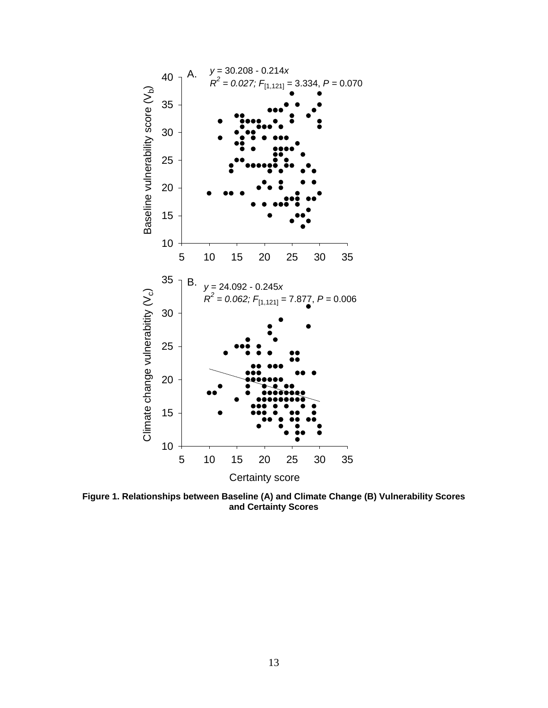

**Figure 1. Relationships between Baseline (A) and Climate Change (B) Vulnerability Scores and Certainty Scores**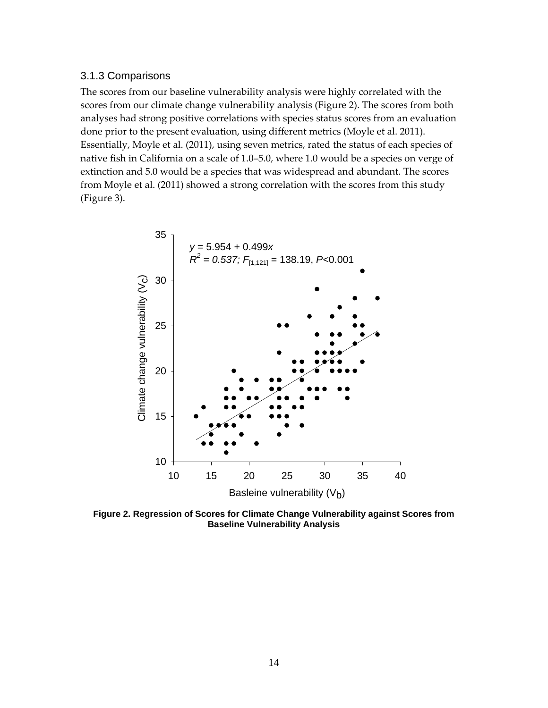#### 3.1.3 Comparisons

The scores from our baseline vulnerability analysis were highly correlated with the scores from our climate change vulnerability analysis (Figure 2). The scores from both analyses had strong positive correlations with species status scores from an evaluation done prior to the present evaluation, using different metrics (Moyle et al. 2011). Essentially, Moyle et al. (2011), using seven metrics, rated the status of each species of native fish in California on a scale of 1.0–5.0, where 1.0 would be a species on verge of extinction and 5.0 would be a species that was widespread and abundant. The scores from Moyle et al. (2011) showed a strong correlation with the scores from this study (Figure 3).



**Figure 2. Regression of Scores for Climate Change Vulnerability against Scores from Baseline Vulnerability Analysis**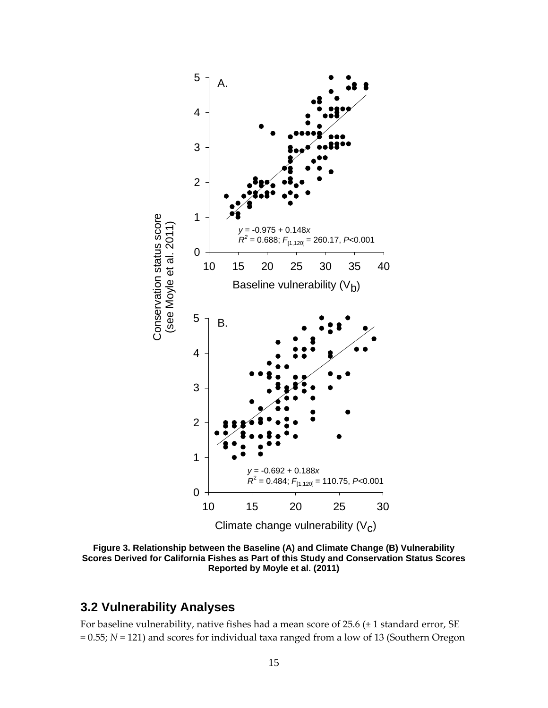

**Figure 3. Relationship between the Baseline (A) and Climate Change (B) Vulnerability Scores Derived for California Fishes as Part of this Study and Conservation Status Scores Reported by Moyle et al. (2011)** 

### **3.2 Vulnerability Analyses**

For baseline vulnerability, native fishes had a mean score of  $25.6 \pm 1$  standard error, SE = 0.55; *N* = 121) and scores for individual taxa ranged from a low of 13 (Southern Oregon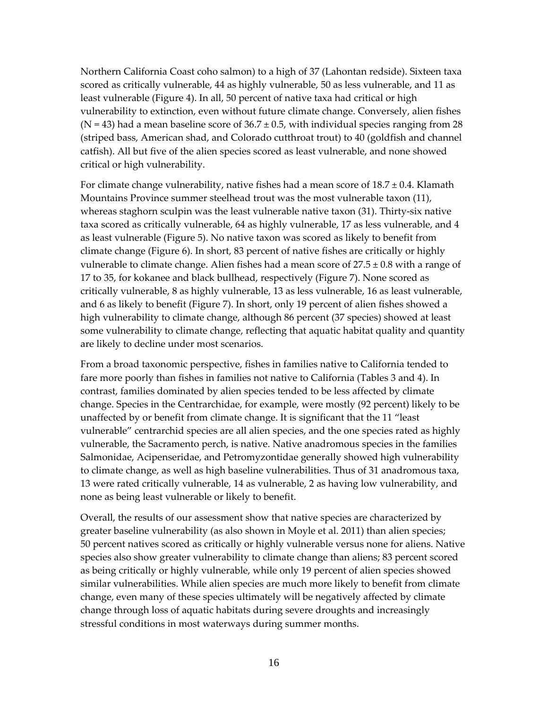Northern California Coast coho salmon) to a high of 37 (Lahontan redside). Sixteen taxa scored as critically vulnerable, 44 as highly vulnerable, 50 as less vulnerable, and 11 as least vulnerable (Figure 4). In all, 50 percent of native taxa had critical or high vulnerability to extinction, even without future climate change. Conversely, alien fishes  $(N = 43)$  had a mean baseline score of  $36.7 \pm 0.5$ , with individual species ranging from 28 (striped bass, American shad, and Colorado cutthroat trout) to 40 (goldfish and channel catfish). All but five of the alien species scored as least vulnerable, and none showed critical or high vulnerability.

For climate change vulnerability, native fishes had a mean score of  $18.7 \pm 0.4$ . Klamath Mountains Province summer steelhead trout was the most vulnerable taxon (11), whereas staghorn sculpin was the least vulnerable native taxon (31). Thirty‐six native taxa scored as critically vulnerable, 64 as highly vulnerable, 17 as less vulnerable, and 4 as least vulnerable (Figure 5). No native taxon was scored as likely to benefit from climate change (Figure 6). In short, 83 percent of native fishes are critically or highly vulnerable to climate change. Alien fishes had a mean score of  $27.5 \pm 0.8$  with a range of 17 to 35, for kokanee and black bullhead, respectively (Figure 7). None scored as critically vulnerable, 8 as highly vulnerable, 13 as less vulnerable, 16 as least vulnerable, and 6 as likely to benefit (Figure 7). In short, only 19 percent of alien fishes showed a high vulnerability to climate change, although 86 percent (37 species) showed at least some vulnerability to climate change, reflecting that aquatic habitat quality and quantity are likely to decline under most scenarios.

From a broad taxonomic perspective, fishes in families native to California tended to fare more poorly than fishes in families not native to California (Tables 3 and 4). In contrast, families dominated by alien species tended to be less affected by climate change. Species in the Centrarchidae, for example, were mostly (92 percent) likely to be unaffected by or benefit from climate change. It is significant that the 11 "least vulnerable" centrarchid species are all alien species, and the one species rated as highly vulnerable, the Sacramento perch, is native. Native anadromous species in the families Salmonidae, Acipenseridae, and Petromyzontidae generally showed high vulnerability to climate change, as well as high baseline vulnerabilities. Thus of 31 anadromous taxa, 13 were rated critically vulnerable, 14 as vulnerable, 2 as having low vulnerability, and none as being least vulnerable or likely to benefit.

Overall, the results of our assessment show that native species are characterized by greater baseline vulnerability (as also shown in Moyle et al. 2011) than alien species; 50 percent natives scored as critically or highly vulnerable versus none for aliens. Native species also show greater vulnerability to climate change than aliens; 83 percent scored as being critically or highly vulnerable, while only 19 percent of alien species showed similar vulnerabilities. While alien species are much more likely to benefit from climate change, even many of these species ultimately will be negatively affected by climate change through loss of aquatic habitats during severe droughts and increasingly stressful conditions in most waterways during summer months.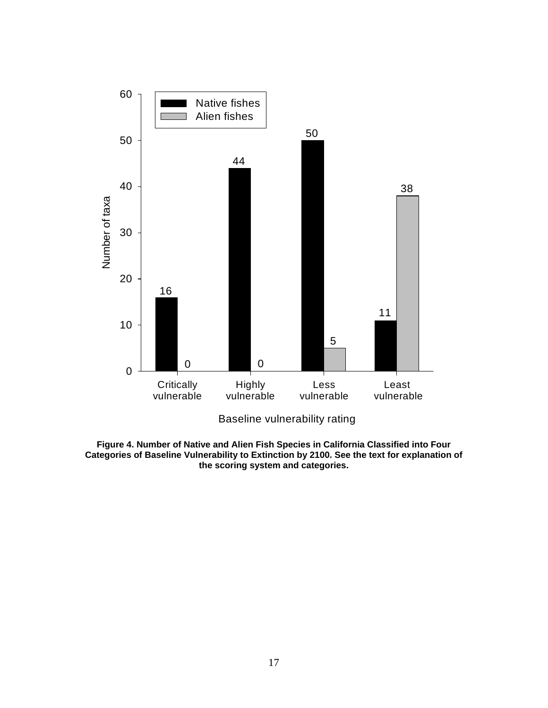

**Figure 4. Number of Native and Alien Fish Species in California Classified into Four Categories of Baseline Vulnerability to Extinction by 2100. See the text for explanation of the scoring system and categories.**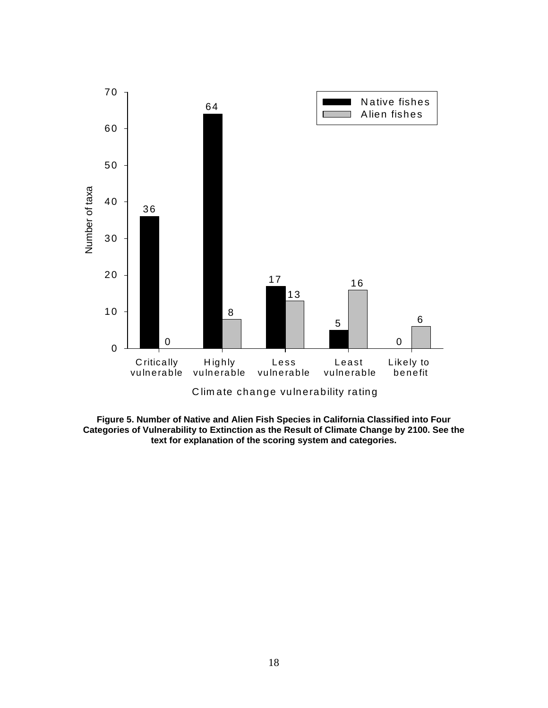

**Figure 5. Number of Native and Alien Fish Species in California Classified into Four Categories of Vulnerability to Extinction as the Result of Climate Change by 2100. See the text for explanation of the scoring system and categories.**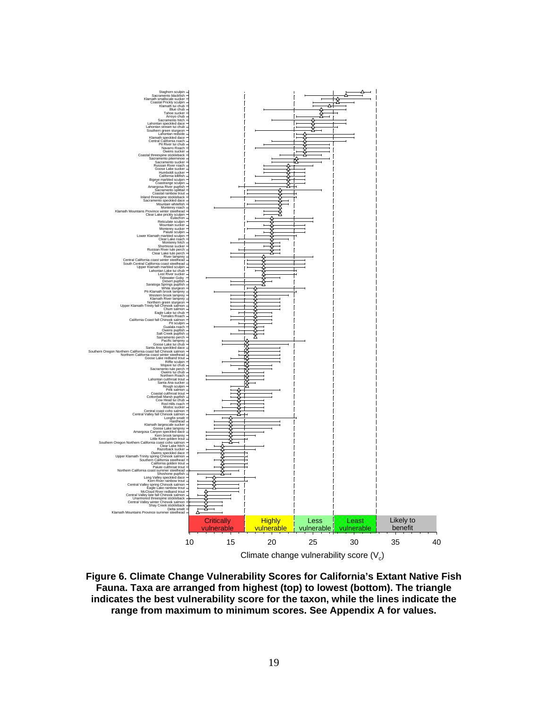

**Figure 6. Climate Change Vulnerability Scores for California's Extant Native Fish Fauna. Taxa are arranged from highest (top) to lowest (bottom). The triangle indicates the best vulnerability score for the taxon, while the lines indicate the range from maximum to minimum scores. See Appendix A for values.**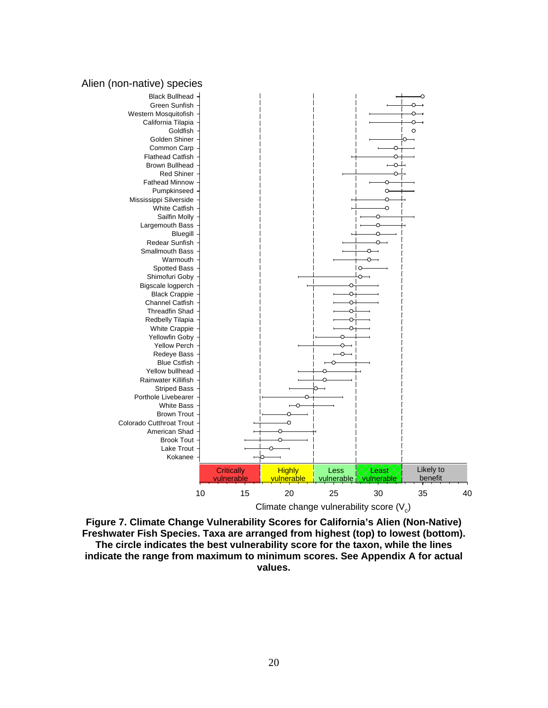



**Figure 7. Climate Change Vulnerability Scores for California's Alien (Non-Native) Freshwater Fish Species. Taxa are arranged from highest (top) to lowest (bottom). The circle indicates the best vulnerability score for the taxon, while the lines indicate the range from maximum to minimum scores. See Appendix A for actual values.**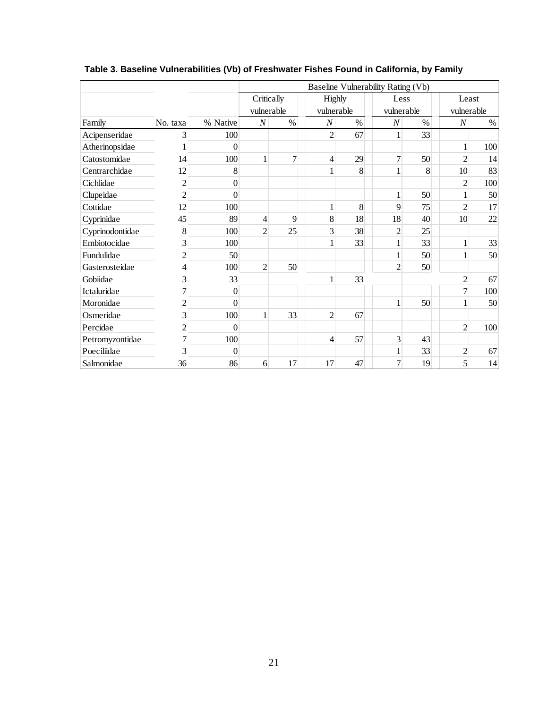|                 |                |          | Baseline Vulnerability Rating (Vb) |      |                |      |                  |      |                  |      |  |  |  |
|-----------------|----------------|----------|------------------------------------|------|----------------|------|------------------|------|------------------|------|--|--|--|
|                 |                |          | Critically<br>vulnerable           |      | <b>Highly</b>  |      | Less             |      | Least            |      |  |  |  |
|                 |                |          |                                    |      | vulnerable     |      | vulnerable       |      | vulnerable       |      |  |  |  |
| Family          | No. taxa       | % Native | $\cal N$                           | $\%$ |                | $\%$ | $\boldsymbol{N}$ | $\%$ | $\boldsymbol{N}$ | $\%$ |  |  |  |
| Acipenseridae   | 3              | 100      |                                    |      | $\overline{2}$ | 67   | $\mathbf{1}$     | 33   |                  |      |  |  |  |
| Atherinopsidae  |                | $\theta$ |                                    |      |                |      |                  |      | 1                | 100  |  |  |  |
| Catostomidae    | 14             | 100      | 1                                  | 7    | 4              | 29   | 7                | 50   | $\overline{2}$   | 14   |  |  |  |
| Centrarchidae   | 12             | 8        |                                    |      | 1              | 8    |                  | 8    | 10               | 83   |  |  |  |
| Cichlidae       | $\overline{c}$ | $\theta$ |                                    |      |                |      |                  |      | $\overline{c}$   | 100  |  |  |  |
| Clupeidae       | $\overline{c}$ | $\theta$ |                                    |      |                |      |                  | 50   | 1                | 50   |  |  |  |
| Cottidae        | 12             | 100      |                                    |      | 1              | 8    | 9                | 75   | $\overline{2}$   | 17   |  |  |  |
| Cyprinidae      | 45             | 89       | 4                                  | 9    | 8              | 18   | 18               | 40   | 10               | 22   |  |  |  |
| Cyprinodontidae | 8              | 100      | $\overline{2}$                     | 25   | 3              | 38   | $\overline{2}$   | 25   |                  |      |  |  |  |
| Embiotocidae    | 3              | 100      |                                    |      |                | 33   | $\mathbf{1}$     | 33   | $\mathbf{1}$     | 33   |  |  |  |
| Fundulidae      | 2              | 50       |                                    |      |                |      |                  | 50   |                  | 50   |  |  |  |
| Gasterosteidae  | 4              | 100      | $\overline{2}$                     | 50   |                |      | $\overline{2}$   | 50   |                  |      |  |  |  |
| Gobiidae        | 3              | 33       |                                    |      | 1              | 33   |                  |      | $\overline{2}$   | 67   |  |  |  |
| Ictaluridae     | 7              | $\theta$ |                                    |      |                |      |                  |      | $\overline{7}$   | 100  |  |  |  |
| Moronidae       | $\overline{c}$ | $\theta$ |                                    |      |                |      |                  | 50   |                  | 50   |  |  |  |
| Osmeridae       | 3              | 100      | $\mathbf{1}$                       | 33   | $\overline{2}$ | 67   |                  |      |                  |      |  |  |  |
| Percidae        | $\overline{c}$ | $\theta$ |                                    |      |                |      |                  |      | $\overline{c}$   | 100  |  |  |  |
| Petromyzontidae | 7              | 100      |                                    |      | $\overline{4}$ | 57   | 3                | 43   |                  |      |  |  |  |
| Poeciliidae     | 3              | $\theta$ |                                    |      |                |      | 1                | 33   | $\overline{2}$   | 67   |  |  |  |
| Salmonidae      | 36             | 86       | 6                                  | 17   | 17             | 47   | 7                | 19   | 5                | 14   |  |  |  |

**Table 3. Baseline Vulnerabilities (Vb) of Freshwater Fishes Found in California, by Family**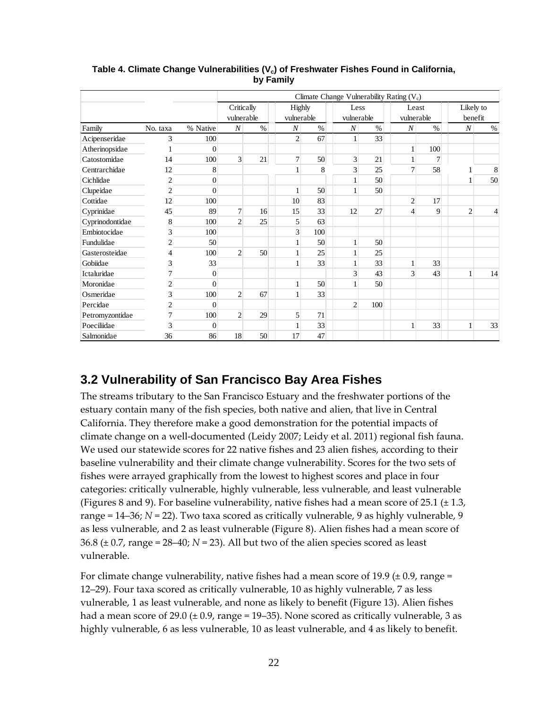|                 |                |                |                          |      |                             |      |                    |      | Climate Change Vulnerability Rating $(V_c)$ |        |                      |      |
|-----------------|----------------|----------------|--------------------------|------|-----------------------------|------|--------------------|------|---------------------------------------------|--------|----------------------|------|
|                 |                |                | Critically<br>vulnerable |      | <b>Highly</b><br>vulnerable |      | Less<br>vulnerable |      | Least<br>vulnerable                         |        | Likely to<br>benefit |      |
| Family          | No. taxa       | % Native       | $\boldsymbol{N}$         | $\%$ | $\boldsymbol{N}$            | $\%$ | $\boldsymbol{N}$   | $\%$ | $\boldsymbol{N}$                            | $\%$   | $\cal N$             | $\%$ |
| Acipenseridae   | 3              | 100            |                          |      | $\overline{2}$              | 67   | 1                  | 33   |                                             |        |                      |      |
| Atherinopsidae  |                | $\Omega$       |                          |      |                             |      |                    |      | $\mathbf{1}$                                | 100    |                      |      |
| Catostomidae    | 14             | 100            | $\overline{\mathbf{3}}$  | 21   | $\overline{7}$              | 50   | 3                  | 21   | $\mathbf{1}$                                | $\tau$ |                      |      |
| Centrarchidae   | 12             | 8              |                          |      |                             | 8    | 3                  | 25   | $\overline{7}$                              | 58     |                      | 8    |
| Cichlidae       | $\overline{2}$ | $\theta$       |                          |      |                             |      |                    | 50   |                                             |        |                      | 50   |
| Clupeidae       | $\overline{2}$ | $\theta$       |                          |      |                             | 50   |                    | 50   |                                             |        |                      |      |
| Cottidae        | 12             | 100            |                          |      | 10                          | 83   |                    |      | $\overline{2}$                              | 17     |                      |      |
| Cyprinidae      | 45             | 89             | $\overline{7}$           | 16   | 15                          | 33   | 12                 | 27   | $\overline{4}$                              | 9      | $\overline{2}$       | 4    |
| Cyprinodontidae | 8              | 100            | $\overline{2}$           | 25   | 5                           | 63   |                    |      |                                             |        |                      |      |
| Embiotocidae    | 3              | 100            |                          |      | 3                           | 100  |                    |      |                                             |        |                      |      |
| Fundulidae      | $\overline{2}$ | 50             |                          |      |                             | 50   |                    | 50   |                                             |        |                      |      |
| Gasterosteidae  | 4              | 100            | $\overline{2}$           | 50   | 1                           | 25   |                    | 25   |                                             |        |                      |      |
| Gobiidae        | 3              | 33             |                          |      |                             | 33   |                    | 33   | 1                                           | 33     |                      |      |
| Ictaluridae     | 7              | $\overline{0}$ |                          |      |                             |      | 3                  | 43   | $\overline{3}$                              | 43     | 1                    | 14   |
| Moronidae       | $\overline{c}$ | $\Omega$       |                          |      |                             | 50   |                    | 50   |                                             |        |                      |      |
| Osmeridae       | 3              | 100            | $\overline{c}$           | 67   |                             | 33   |                    |      |                                             |        |                      |      |
| Percidae        | $\overline{2}$ | $\theta$       |                          |      |                             |      | $\overline{2}$     | 100  |                                             |        |                      |      |
| Petromyzontidae | 7              | 100            | $\overline{2}$           | 29   | 5                           | 71   |                    |      |                                             |        |                      |      |
| Poeciliidae     | 3              | $\theta$       |                          |      |                             | 33   |                    |      | $\mathbf{1}$                                | 33     | $\mathbf{1}$         | 33   |
| Salmonidae      | 36             | 86             | 18                       | 50   | 17                          | 47   |                    |      |                                             |        |                      |      |

Table 4. Climate Change Vulnerabilities (V<sub>c</sub>) of Freshwater Fishes Found in California, **by Family** 

### **3.2 Vulnerability of San Francisco Bay Area Fishes**

The streams tributary to the San Francisco Estuary and the freshwater portions of the estuary contain many of the fish species, both native and alien, that live in Central California. They therefore make a good demonstration for the potential impacts of climate change on a well‐documented (Leidy 2007; Leidy et al. 2011) regional fish fauna. We used our statewide scores for 22 native fishes and 23 alien fishes, according to their baseline vulnerability and their climate change vulnerability. Scores for the two sets of fishes were arrayed graphically from the lowest to highest scores and place in four categories: critically vulnerable, highly vulnerable, less vulnerable, and least vulnerable (Figures 8 and 9). For baseline vulnerability, native fishes had a mean score of 25.1 ( $\pm$  1.3, range = 14–36; *N* = 22). Two taxa scored as critically vulnerable, 9 as highly vulnerable, 9 as less vulnerable, and 2 as least vulnerable (Figure 8). Alien fishes had a mean score of 36.8 ( $\pm$  0.7, range = 28–40;  $N$  = 23). All but two of the alien species scored as least vulnerable.

For climate change vulnerability, native fishes had a mean score of 19.9 ( $\pm$  0.9, range = 12–29). Four taxa scored as critically vulnerable, 10 as highly vulnerable, 7 as less vulnerable, 1 as least vulnerable, and none as likely to benefit (Figure 13). Alien fishes had a mean score of 29.0  $(\pm 0.9, \text{range} = 19-35)$ . None scored as critically vulnerable, 3 as highly vulnerable, 6 as less vulnerable, 10 as least vulnerable, and 4 as likely to benefit.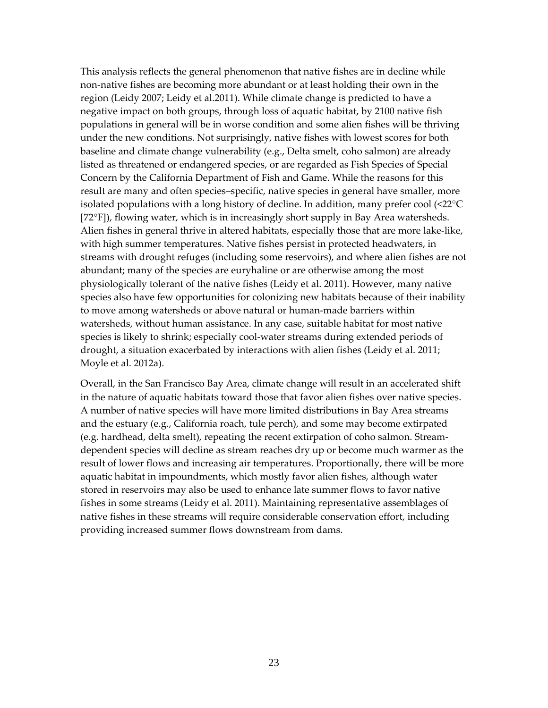This analysis reflects the general phenomenon that native fishes are in decline while non‐native fishes are becoming more abundant or at least holding their own in the region (Leidy 2007; Leidy et al.2011). While climate change is predicted to have a negative impact on both groups, through loss of aquatic habitat, by 2100 native fish populations in general will be in worse condition and some alien fishes will be thriving under the new conditions. Not surprisingly, native fishes with lowest scores for both baseline and climate change vulnerability (e.g., Delta smelt, coho salmon) are already listed as threatened or endangered species, or are regarded as Fish Species of Special Concern by the California Department of Fish and Game. While the reasons for this result are many and often species–specific, native species in general have smaller, more isolated populations with a long history of decline. In addition, many prefer cool (<22°C [72°F]), flowing water, which is in increasingly short supply in Bay Area watersheds. Alien fishes in general thrive in altered habitats, especially those that are more lake-like, with high summer temperatures. Native fishes persist in protected headwaters, in streams with drought refuges (including some reservoirs), and where alien fishes are not abundant; many of the species are euryhaline or are otherwise among the most physiologically tolerant of the native fishes (Leidy et al. 2011). However, many native species also have few opportunities for colonizing new habitats because of their inability to move among watersheds or above natural or human-made barriers within watersheds, without human assistance. In any case, suitable habitat for most native species is likely to shrink; especially cool-water streams during extended periods of drought, a situation exacerbated by interactions with alien fishes (Leidy et al. 2011; Moyle et al. 2012a).

Overall, in the San Francisco Bay Area, climate change will result in an accelerated shift in the nature of aquatic habitats toward those that favor alien fishes over native species. A number of native species will have more limited distributions in Bay Area streams and the estuary (e.g., California roach, tule perch), and some may become extirpated (e.g. hardhead, delta smelt), repeating the recent extirpation of coho salmon. Stream‐ dependent species will decline as stream reaches dry up or become much warmer as the result of lower flows and increasing air temperatures. Proportionally, there will be more aquatic habitat in impoundments, which mostly favor alien fishes, although water stored in reservoirs may also be used to enhance late summer flows to favor native fishes in some streams (Leidy et al. 2011). Maintaining representative assemblages of native fishes in these streams will require considerable conservation effort, including providing increased summer flows downstream from dams.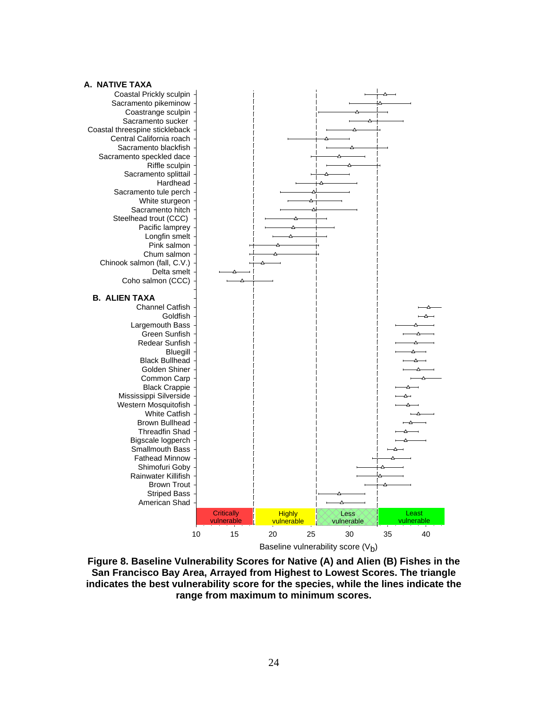

**Figure 8. Baseline Vulnerability Scores for Native (A) and Alien (B) Fishes in the San Francisco Bay Area, Arrayed from Highest to Lowest Scores. The triangle indicates the best vulnerability score for the species, while the lines indicate the range from maximum to minimum scores.**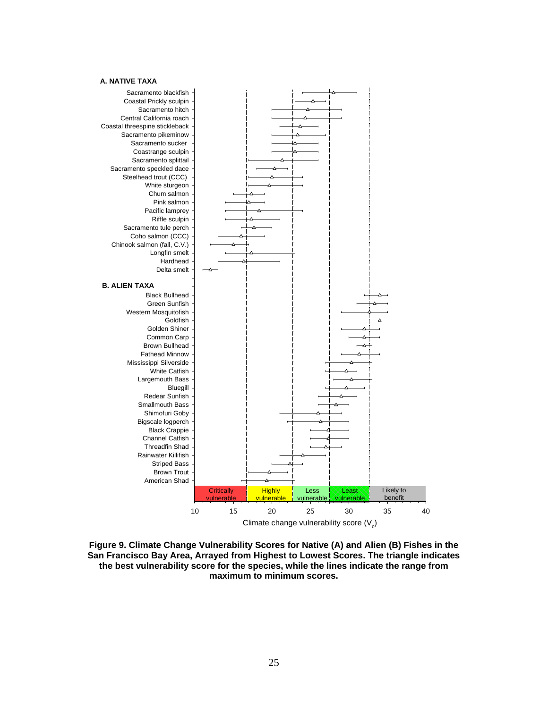#### **A. NATIVE TAXA**



**Figure 9. Climate Change Vulnerability Scores for Native (A) and Alien (B) Fishes in the San Francisco Bay Area, Arrayed from Highest to Lowest Scores. The triangle indicates the best vulnerability score for the species, while the lines indicate the range from maximum to minimum scores.**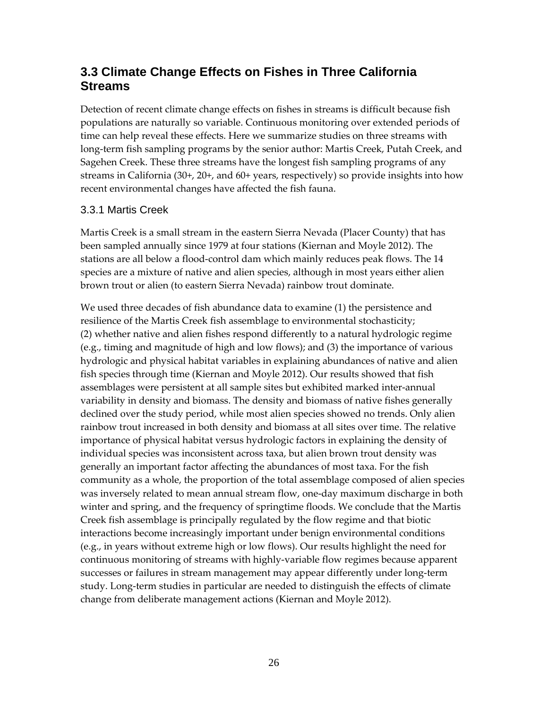### **3.3 Climate Change Effects on Fishes in Three California Streams**

Detection of recent climate change effects on fishes in streams is difficult because fish populations are naturally so variable. Continuous monitoring over extended periods of time can help reveal these effects. Here we summarize studies on three streams with long-term fish sampling programs by the senior author: Martis Creek, Putah Creek, and Sagehen Creek. These three streams have the longest fish sampling programs of any streams in California (30+, 20+, and 60+ years, respectively) so provide insights into how recent environmental changes have affected the fish fauna.

#### 3.3.1 Martis Creek

Martis Creek is a small stream in the eastern Sierra Nevada (Placer County) that has been sampled annually since 1979 at four stations (Kiernan and Moyle 2012). The stations are all below a flood‐control dam which mainly reduces peak flows. The 14 species are a mixture of native and alien species, although in most years either alien brown trout or alien (to eastern Sierra Nevada) rainbow trout dominate.

We used three decades of fish abundance data to examine (1) the persistence and resilience of the Martis Creek fish assemblage to environmental stochasticity; (2) whether native and alien fishes respond differently to a natural hydrologic regime (e.g., timing and magnitude of high and low flows); and (3) the importance of various hydrologic and physical habitat variables in explaining abundances of native and alien fish species through time (Kiernan and Moyle 2012). Our results showed that fish assemblages were persistent at all sample sites but exhibited marked inter‐annual variability in density and biomass. The density and biomass of native fishes generally declined over the study period, while most alien species showed no trends. Only alien rainbow trout increased in both density and biomass at all sites over time. The relative importance of physical habitat versus hydrologic factors in explaining the density of individual species was inconsistent across taxa, but alien brown trout density was generally an important factor affecting the abundances of most taxa. For the fish community as a whole, the proportion of the total assemblage composed of alien species was inversely related to mean annual stream flow, one‐day maximum discharge in both winter and spring, and the frequency of springtime floods. We conclude that the Martis Creek fish assemblage is principally regulated by the flow regime and that biotic interactions become increasingly important under benign environmental conditions (e.g., in years without extreme high or low flows). Our results highlight the need for continuous monitoring of streams with highly‐variable flow regimes because apparent successes or failures in stream management may appear differently under long‐term study. Long‐term studies in particular are needed to distinguish the effects of climate change from deliberate management actions (Kiernan and Moyle 2012).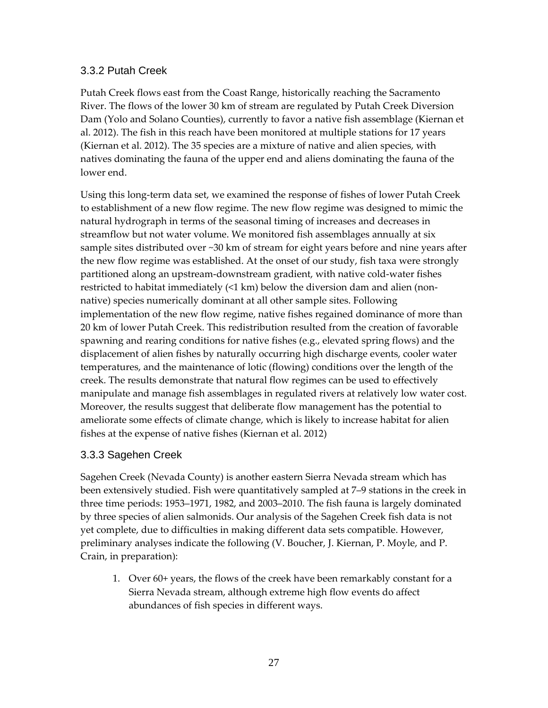#### 3.3.2 Putah Creek

Putah Creek flows east from the Coast Range, historically reaching the Sacramento River. The flows of the lower 30 km of stream are regulated by Putah Creek Diversion Dam (Yolo and Solano Counties), currently to favor a native fish assemblage (Kiernan et al. 2012). The fish in this reach have been monitored at multiple stations for 17 years (Kiernan et al. 2012). The 35 species are a mixture of native and alien species, with natives dominating the fauna of the upper end and aliens dominating the fauna of the lower end.

Using this long‐term data set, we examined the response of fishes of lower Putah Creek to establishment of a new flow regime. The new flow regime was designed to mimic the natural hydrograph in terms of the seasonal timing of increases and decreases in streamflow but not water volume. We monitored fish assemblages annually at six sample sites distributed over ~30 km of stream for eight years before and nine years after the new flow regime was established. At the onset of our study, fish taxa were strongly partitioned along an upstream‐downstream gradient, with native cold‐water fishes restricted to habitat immediately (<1 km) below the diversion dam and alien (non‐ native) species numerically dominant at all other sample sites. Following implementation of the new flow regime, native fishes regained dominance of more than 20 km of lower Putah Creek. This redistribution resulted from the creation of favorable spawning and rearing conditions for native fishes (e.g., elevated spring flows) and the displacement of alien fishes by naturally occurring high discharge events, cooler water temperatures, and the maintenance of lotic (flowing) conditions over the length of the creek. The results demonstrate that natural flow regimes can be used to effectively manipulate and manage fish assemblages in regulated rivers at relatively low water cost. Moreover, the results suggest that deliberate flow management has the potential to ameliorate some effects of climate change, which is likely to increase habitat for alien fishes at the expense of native fishes (Kiernan et al. 2012)

#### 3.3.3 Sagehen Creek

Sagehen Creek (Nevada County) is another eastern Sierra Nevada stream which has been extensively studied. Fish were quantitatively sampled at 7–9 stations in the creek in three time periods: 1953–1971, 1982, and 2003–2010. The fish fauna is largely dominated by three species of alien salmonids. Our analysis of the Sagehen Creek fish data is not yet complete, due to difficulties in making different data sets compatible. However, preliminary analyses indicate the following (V. Boucher, J. Kiernan, P. Moyle, and P. Crain, in preparation):

1. Over 60+ years, the flows of the creek have been remarkably constant for a Sierra Nevada stream, although extreme high flow events do affect abundances of fish species in different ways.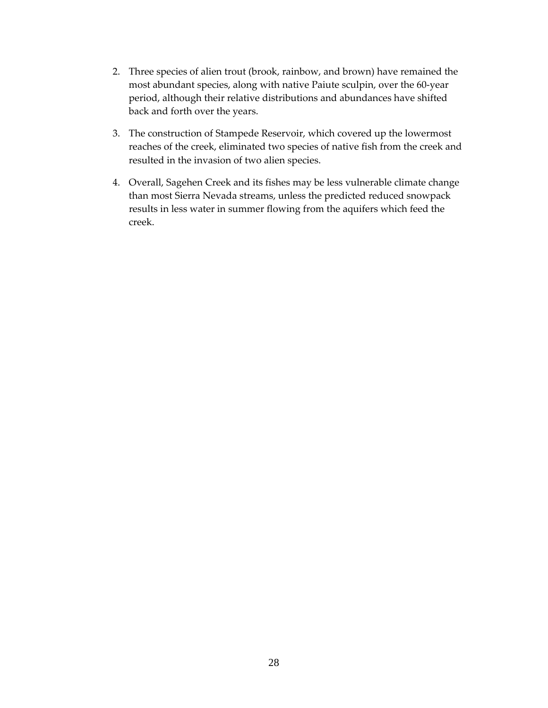- 2. Three species of alien trout (brook, rainbow, and brown) have remained the most abundant species, along with native Paiute sculpin, over the 60‐year period, although their relative distributions and abundances have shifted back and forth over the years.
- 3. The construction of Stampede Reservoir, which covered up the lowermost reaches of the creek, eliminated two species of native fish from the creek and resulted in the invasion of two alien species.
- 4. Overall, Sagehen Creek and its fishes may be less vulnerable climate change than most Sierra Nevada streams, unless the predicted reduced snowpack results in less water in summer flowing from the aquifers which feed the creek.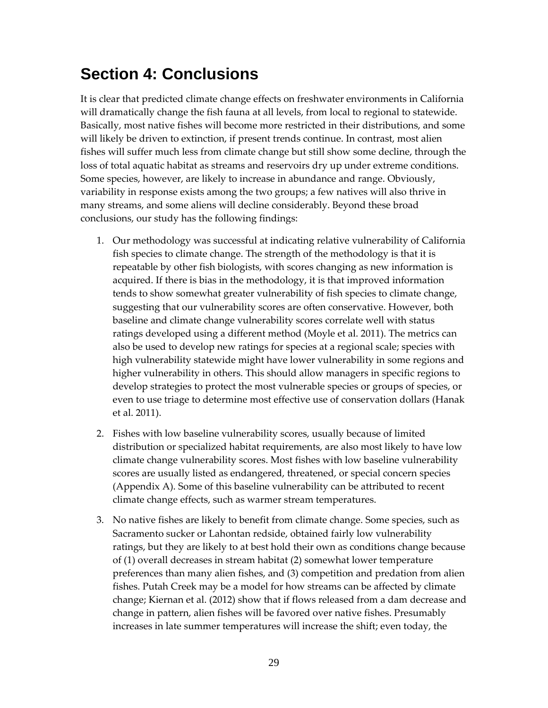## **Section 4: Conclusions**

It is clear that predicted climate change effects on freshwater environments in California will dramatically change the fish fauna at all levels, from local to regional to statewide. Basically, most native fishes will become more restricted in their distributions, and some will likely be driven to extinction, if present trends continue. In contrast, most alien fishes will suffer much less from climate change but still show some decline, through the loss of total aquatic habitat as streams and reservoirs dry up under extreme conditions. Some species, however, are likely to increase in abundance and range. Obviously, variability in response exists among the two groups; a few natives will also thrive in many streams, and some aliens will decline considerably. Beyond these broad conclusions, our study has the following findings:

- 1. Our methodology was successful at indicating relative vulnerability of California fish species to climate change. The strength of the methodology is that it is repeatable by other fish biologists, with scores changing as new information is acquired. If there is bias in the methodology, it is that improved information tends to show somewhat greater vulnerability of fish species to climate change, suggesting that our vulnerability scores are often conservative. However, both baseline and climate change vulnerability scores correlate well with status ratings developed using a different method (Moyle et al. 2011). The metrics can also be used to develop new ratings for species at a regional scale; species with high vulnerability statewide might have lower vulnerability in some regions and higher vulnerability in others. This should allow managers in specific regions to develop strategies to protect the most vulnerable species or groups of species, or even to use triage to determine most effective use of conservation dollars (Hanak et al. 2011).
- 2. Fishes with low baseline vulnerability scores, usually because of limited distribution or specialized habitat requirements, are also most likely to have low climate change vulnerability scores. Most fishes with low baseline vulnerability scores are usually listed as endangered, threatened, or special concern species (Appendix A). Some of this baseline vulnerability can be attributed to recent climate change effects, such as warmer stream temperatures.
- 3. No native fishes are likely to benefit from climate change. Some species, such as Sacramento sucker or Lahontan redside, obtained fairly low vulnerability ratings, but they are likely to at best hold their own as conditions change because of (1) overall decreases in stream habitat (2) somewhat lower temperature preferences than many alien fishes, and (3) competition and predation from alien fishes. Putah Creek may be a model for how streams can be affected by climate change; Kiernan et al. (2012) show that if flows released from a dam decrease and change in pattern, alien fishes will be favored over native fishes. Presumably increases in late summer temperatures will increase the shift; even today, the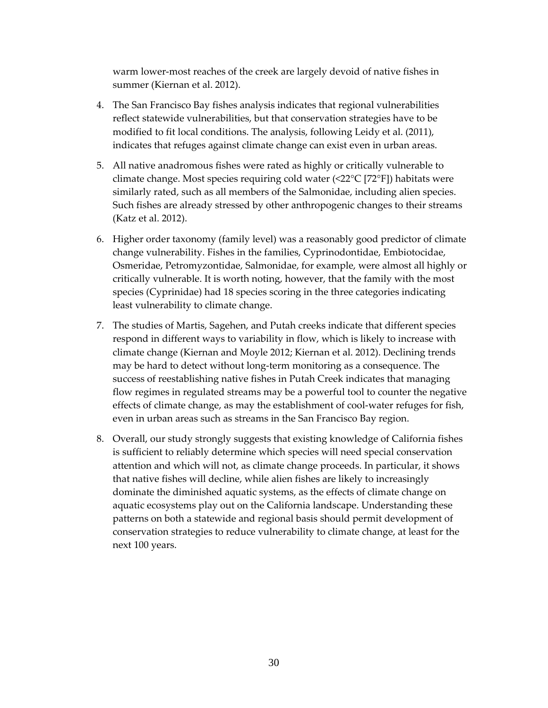warm lower-most reaches of the creek are largely devoid of native fishes in summer (Kiernan et al. 2012).

- 4. The San Francisco Bay fishes analysis indicates that regional vulnerabilities reflect statewide vulnerabilities, but that conservation strategies have to be modified to fit local conditions. The analysis, following Leidy et al. (2011), indicates that refuges against climate change can exist even in urban areas.
- 5. All native anadromous fishes were rated as highly or critically vulnerable to climate change. Most species requiring cold water (<22°C [72°F]) habitats were similarly rated, such as all members of the Salmonidae, including alien species. Such fishes are already stressed by other anthropogenic changes to their streams (Katz et al. 2012).
- 6. Higher order taxonomy (family level) was a reasonably good predictor of climate change vulnerability. Fishes in the families, Cyprinodontidae, Embiotocidae, Osmeridae, Petromyzontidae, Salmonidae, for example, were almost all highly or critically vulnerable. It is worth noting, however, that the family with the most species (Cyprinidae) had 18 species scoring in the three categories indicating least vulnerability to climate change.
- 7. The studies of Martis, Sagehen, and Putah creeks indicate that different species respond in different ways to variability in flow, which is likely to increase with climate change (Kiernan and Moyle 2012; Kiernan et al. 2012). Declining trends may be hard to detect without long‐term monitoring as a consequence. The success of reestablishing native fishes in Putah Creek indicates that managing flow regimes in regulated streams may be a powerful tool to counter the negative effects of climate change, as may the establishment of cool‐water refuges for fish, even in urban areas such as streams in the San Francisco Bay region.
- 8. Overall, our study strongly suggests that existing knowledge of California fishes is sufficient to reliably determine which species will need special conservation attention and which will not, as climate change proceeds. In particular, it shows that native fishes will decline, while alien fishes are likely to increasingly dominate the diminished aquatic systems, as the effects of climate change on aquatic ecosystems play out on the California landscape. Understanding these patterns on both a statewide and regional basis should permit development of conservation strategies to reduce vulnerability to climate change, at least for the next 100 years.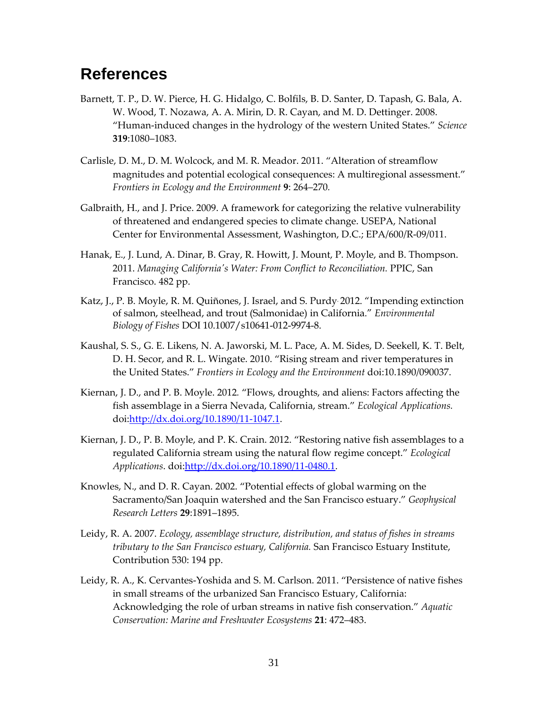## **References**

- Barnett, T. P., D. W. Pierce, H. G. Hidalgo, C. Bolfils, B. D. Santer, D. Tapash, G. Bala, A. W. Wood, T. Nozawa, A. A. Mirin, D. R. Cayan, and M. D. Dettinger. 2008. "Human‐induced changes in the hydrology of the western United States." *Science* **319**:1080–1083.
- Carlisle, D. M., D. M. Wolcock, and M. R. Meador. 2011. "Alteration of streamflow magnitudes and potential ecological consequences: A multiregional assessment." *Frontiers in Ecology and the Environment* **9**: 264–270*.*
- Galbraith, H., and J. Price. 2009. A framework for categorizing the relative vulnerability of threatened and endangered species to climate change. USEPA, National Center for Environmental Assessment, Washington, D.C.; EPA/600/R‐09/011.
- Hanak, E., J. Lund, A. Dinar, B. Gray, R. Howitt, J. Mount, P. Moyle, and B. Thompson. 2011. *Managing Californiaʹs Water: From Conflict to Reconciliation.* PPIC, San Francisco. 482 pp.
- Katz, J., P. B. Moyle, R. M. Quiñones, J. Israel, and S. Purdy. 2012. "Impending extinction of salmon, steelhead, and trout (Salmonidae) in California." *Environmental Biology of Fishes* DOI 10.1007/s10641-012-9974-8.
- Kaushal, S. S., G. E. Likens, N. A. Jaworski, M. L. Pace, A. M. Sides, D. Seekell, K. T. Belt, D. H. Secor, and R. L. Wingate. 2010. "Rising stream and river temperatures in the United States." *Frontiers in Ecology and the Environment* doi:10.1890/090037.
- Kiernan, J. D., and P. B. Moyle. 2012*.* "Flows, droughts, and aliens: Factors affecting the fish assemblage in a Sierra Nevada, California, stream." *Ecological Applications.* doi:http://dx.doi.org/10.1890/11‐1047.1.
- Kiernan, J. D., P. B. Moyle, and P. K. Crain. 2012. "Restoring native fish assemblages to a regulated California stream using the natural flow regime concept." *Ecological Applications*. doi:http://dx.doi.org/10.1890/11‐0480.1.
- Knowles, N., and D. R. Cayan. 2002. "Potential effects of global warming on the Sacramento/San Joaquin watershed and the San Francisco estuary." *Geophysical Research Letters* **29**:1891–1895.
- Leidy, R. A. 2007. *Ecology, assemblage structure, distribution, and status of fishes in streams tributary to the San Francisco estuary, California.* San Francisco Estuary Institute, Contribution 530: 194 pp.
- Leidy, R. A., K. Cervantes‐Yoshida and S. M. Carlson. 2011. "Persistence of native fishes in small streams of the urbanized San Francisco Estuary, California: Acknowledging the role of urban streams in native fish conservation." *Aquatic Conservation: Marine and Freshwater Ecosystems* **21**: 472–483.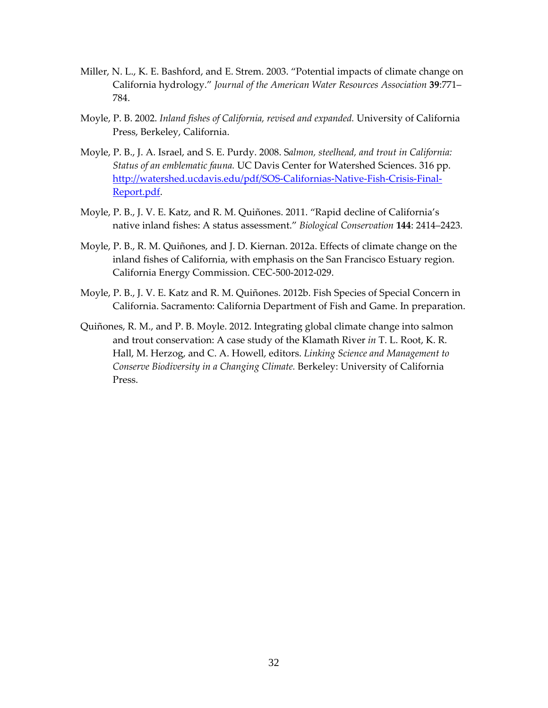- Miller, N. L., K. E. Bashford, and E. Strem. 2003. "Potential impacts of climate change on California hydrology." *Journal of the American Water Resources Association* **39**:771– 784.
- Moyle, P. B. 2002. *Inland fishes of California, revised and expanded.* University of California Press, Berkeley, California.
- Moyle, P. B., J. A. Israel, and S. E. Purdy. 2008. S*almon, steelhead, and trout in California: Status of an emblematic fauna.* UC Davis Center for Watershed Sciences. 316 pp. http://watershed.ucdavis.edu/pdf/SOS‐Californias‐Native‐Fish‐Crisis‐Final‐ Report.pdf.
- Moyle, P. B., J. V. E. Katz, and R. M. Quiñones. 2011. "Rapid decline of California's native inland fishes: A status assessment." *Biological Conservation* **144**: 2414–2423.
- Moyle, P. B., R. M. Quiñones, and J. D. Kiernan. 2012a. Effects of climate change on the inland fishes of California, with emphasis on the San Francisco Estuary region. California Energy Commission. CEC‐500‐2012‐029.
- Moyle, P. B., J. V. E. Katz and R. M. Quiñones. 2012b. Fish Species of Special Concern in California. Sacramento: California Department of Fish and Game. In preparation.
- Quiñones, R. M., and P. B. Moyle. 2012. Integrating global climate change into salmon and trout conservation: A case study of the Klamath River *in* T. L. Root, K. R. Hall, M. Herzog, and C. A. Howell, editors. *Linking Science and Management to Conserve Biodiversity in a Changing Climate.* Berkeley: University of California Press.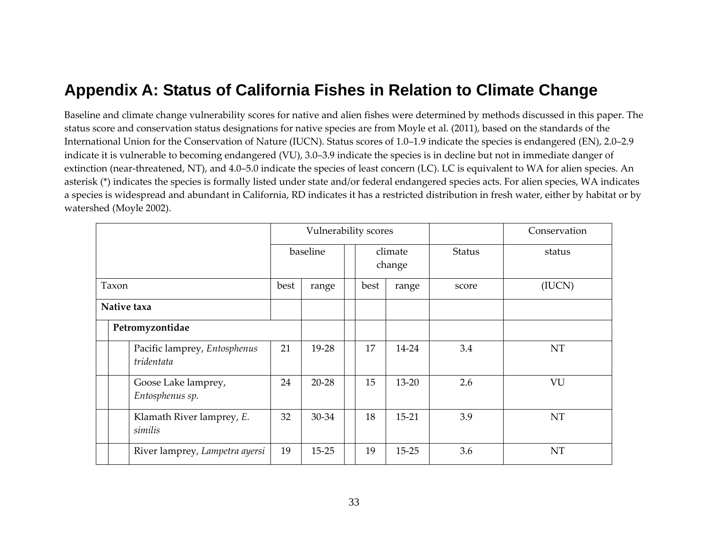## **Appendix A: Status of California Fishes in Relation to Climate Change**

Baseline and climate change vulnerability scores for native and alien fishes were determined by methods discussed in this paper. The status score and conservation status designations for native species are from Moyle et al. (2011), based on the standards of the International Union for the Conservation of Nature (IUCN). Status scores of 1.0–1.9 indicate the species is endangered (EN), 2.0–2.9 indicate it is vulnerable to becoming endangered (VU), 3.0–3.9 indicate the species is in decline but not in immediate danger of extinction (near‐threatened, NT), and 4.0–5.0 indicate the species of least concern (LC). LC is equivalent to WA for alien species. An asterisk (\*) indicates the species is formally listed under state and/or federal endangered species acts. For alien species, WA indicates a species is widespread and abundant in California, RD indicates it has <sup>a</sup> restricted distribution in fresh water, either by habitat or by watershed (Moyle 2002).

|                 |  |                                            |          | Vulnerability scores |      |       |                   |               | Conservation |
|-----------------|--|--------------------------------------------|----------|----------------------|------|-------|-------------------|---------------|--------------|
|                 |  |                                            | baseline |                      |      |       | climate<br>change | <b>Status</b> | status       |
| Taxon           |  | best                                       | range    |                      | best | range | score             | (IUCN)        |              |
| Native taxa     |  |                                            |          |                      |      |       |                   |               |              |
| Petromyzontidae |  |                                            |          |                      |      |       |                   |               |              |
|                 |  | Pacific lamprey, Entosphenus<br>tridentata | 21       | 19-28                |      | 17    | 14-24             | 3.4           | <b>NT</b>    |
|                 |  | Goose Lake lamprey,<br>Entosphenus sp.     | 24       | $20 - 28$            |      | 15    | $13 - 20$         | 2.6           | VU           |
|                 |  | Klamath River lamprey, E.<br>similis       | 32       | 30-34                |      | 18    | $15-21$           | 3.9           | NT           |
|                 |  | River lamprey, Lampetra ayersi             | 19       | $15 - 25$            |      | 19    | 15-25             | 3.6           | NT           |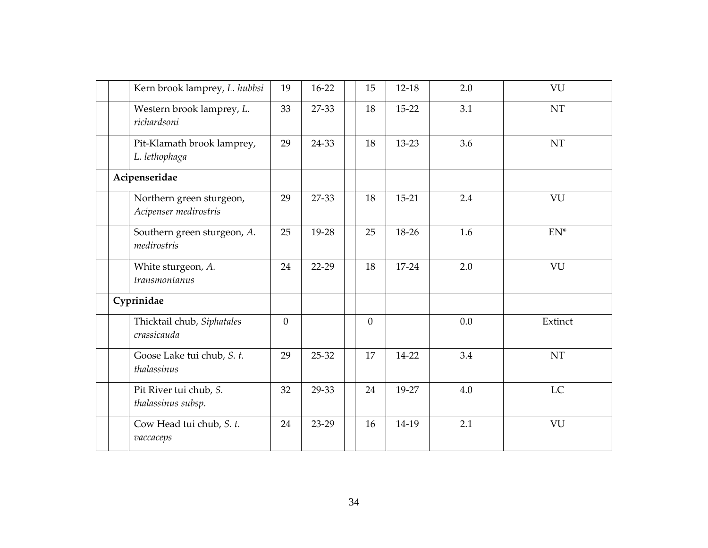|  | Kern brook lamprey, L. hubbsi                     | 19       | $16-22$ | 15           | 12-18   | 2.0 | VU        |
|--|---------------------------------------------------|----------|---------|--------------|---------|-----|-----------|
|  | Western brook lamprey, L.<br>richardsoni          | 33       | 27-33   | 18           | $15-22$ | 3.1 | <b>NT</b> |
|  | Pit-Klamath brook lamprey,<br>L. lethophaga       | 29       | 24-33   | 18           | 13-23   | 3.6 | NT        |
|  | Acipenseridae                                     |          |         |              |         |     |           |
|  | Northern green sturgeon,<br>Acipenser medirostris | 29       | 27-33   | 18           | $15-21$ | 2.4 | VU        |
|  | Southern green sturgeon, A.<br>medirostris        | 25       | 19-28   | 25           | 18-26   | 1.6 | $EN^*$    |
|  | White sturgeon, A.<br>transmontanus               | 24       | $22-29$ | 18           | $17-24$ | 2.0 | VU        |
|  | Cyprinidae                                        |          |         |              |         |     |           |
|  | Thicktail chub, Siphatales<br>crassicauda         | $\Omega$ |         | $\mathbf{0}$ |         | 0.0 | Extinct   |
|  | Goose Lake tui chub, S. t.<br>thalassinus         | 29       | 25-32   | 17           | 14-22   | 3.4 | NT        |
|  | Pit River tui chub, S.<br>thalassinus subsp.      | 32       | 29-33   | 24           | 19-27   | 4.0 | LC        |
|  | Cow Head tui chub, S. t.<br>vaccaceps             | 24       | 23-29   | 16           | 14-19   | 2.1 | VU        |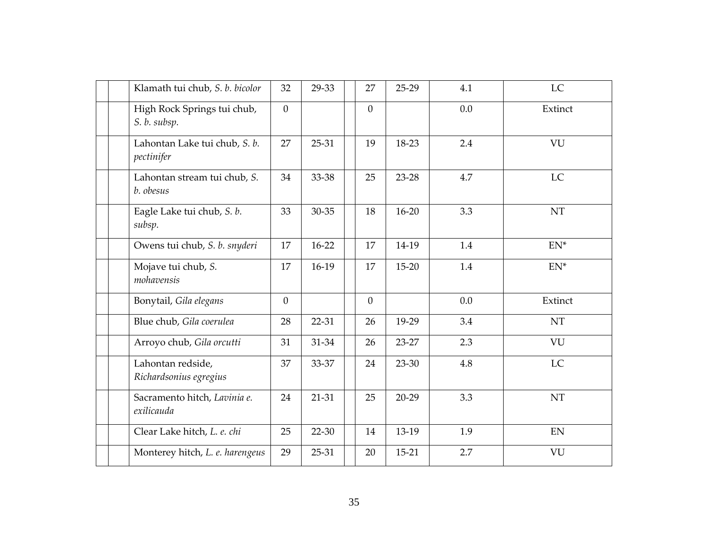|  | Klamath tui chub, S. b. bicolor             | 32             | 29-33   | 27             | 25-29     | 4.1 | LC        |
|--|---------------------------------------------|----------------|---------|----------------|-----------|-----|-----------|
|  | High Rock Springs tui chub,<br>S. b. subsp. | $\overline{0}$ |         | $\overline{0}$ |           | 0.0 | Extinct   |
|  | Lahontan Lake tui chub, S. b.<br>pectinifer | 27             | 25-31   | 19             | 18-23     | 2.4 | VU        |
|  | Lahontan stream tui chub, S.<br>b. obesus   | 34             | 33-38   | 25             | 23-28     | 4.7 | LC        |
|  | Eagle Lake tui chub, S. b.<br>subsp.        | 33             | 30-35   | 18             | $16 - 20$ | 3.3 | NT        |
|  | Owens tui chub, S. b. snyderi               | 17             | $16-22$ | 17             | 14-19     | 1.4 | $EN^*$    |
|  | Mojave tui chub, S.<br>mohavensis           | 17             | $16-19$ | 17             | 15-20     | 1.4 | $EN^*$    |
|  | Bonytail, Gila elegans                      | $\overline{0}$ |         | $\overline{0}$ |           | 0.0 | Extinct   |
|  | Blue chub, Gila coerulea                    | 28             | 22-31   | 26             | 19-29     | 3.4 | <b>NT</b> |
|  | Arroyo chub, Gila orcutti                   | 31             | 31-34   | 26             | 23-27     | 2.3 | VU        |
|  | Lahontan redside,<br>Richardsonius egregius | 37             | 33-37   | 24             | 23-30     | 4.8 | <b>LC</b> |
|  | Sacramento hitch, Lavinia e.<br>exilicauda  | 24             | 21-31   | 25             | $20-29$   | 3.3 | NT        |
|  | Clear Lake hitch, L. e. chi                 | 25             | 22-30   | 14             | 13-19     | 1.9 | EN        |
|  | Monterey hitch, L. e. harengeus             | 29             | 25-31   | 20             | 15-21     | 2.7 | VU        |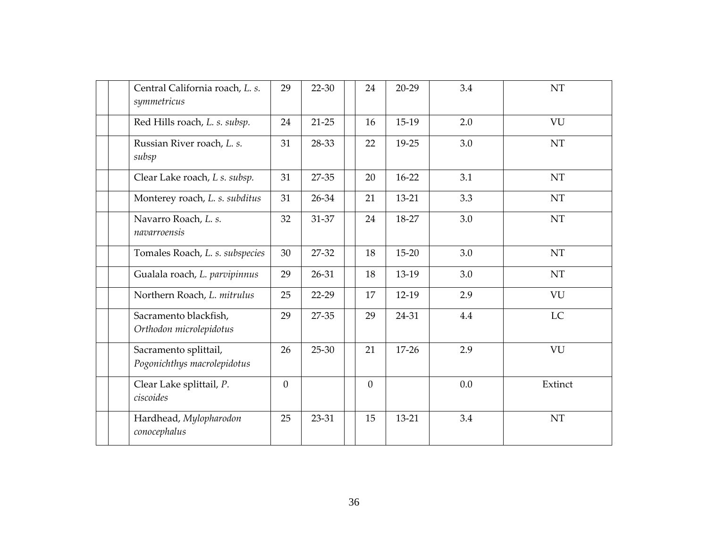| Central California roach, L. s.<br>symmetricus       | 29             | 22-30     | 24             | $20 - 29$ | 3.4 | NT                         |
|------------------------------------------------------|----------------|-----------|----------------|-----------|-----|----------------------------|
| Red Hills roach, L. s. subsp.                        | 24             | $21 - 25$ | 16             | 15-19     | 2.0 | VU                         |
| Russian River roach, L. s.<br>subsp                  | 31             | 28-33     | 22             | 19-25     | 3.0 | NT                         |
| Clear Lake roach, L s. subsp.                        | 31             | 27-35     | 20             | $16-22$   | 3.1 | $\mathop{\rm NT}\nolimits$ |
| Monterey roach, L. s. subditus                       | 31             | 26-34     | 21             | 13-21     | 3.3 | NT                         |
| Navarro Roach, L. s.<br>navarroensis                 | 32             | 31-37     | 24             | 18-27     | 3.0 | <b>NT</b>                  |
| Tomales Roach, L. s. subspecies                      | 30             | 27-32     | 18             | $15 - 20$ | 3.0 | NT                         |
| Gualala roach, L. parvipinnus                        | 29             | 26-31     | 18             | 13-19     | 3.0 | NT                         |
| Northern Roach, L. mitrulus                          | 25             | 22-29     | 17             | 12-19     | 2.9 | VU                         |
| Sacramento blackfish,<br>Orthodon microlepidotus     | 29             | 27-35     | 29             | 24-31     | 4.4 | <b>LC</b>                  |
| Sacramento splittail,<br>Pogonichthys macrolepidotus | 26             | 25-30     | 21             | $17 - 26$ | 2.9 | VU                         |
| Clear Lake splittail, P.<br>ciscoides                | $\overline{0}$ |           | $\overline{0}$ |           | 0.0 | Extinct                    |
| Hardhead, Mylopharodon<br>conocephalus               | 25             | 23-31     | 15             | $13 - 21$ | 3.4 | <b>NT</b>                  |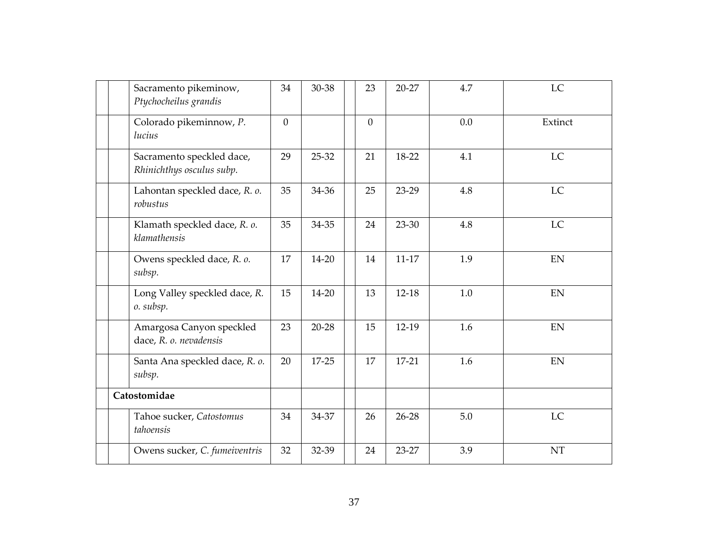|  | Sacramento pikeminow,<br>Ptychocheilus grandis         | 34       | 30-38     | 23           | $20 - 27$ | 4.7 | LC                         |
|--|--------------------------------------------------------|----------|-----------|--------------|-----------|-----|----------------------------|
|  | Colorado pikeminnow, P.<br>lucius                      | $\Omega$ |           | $\mathbf{0}$ |           | 0.0 | Extinct                    |
|  | Sacramento speckled dace,<br>Rhinichthys osculus subp. | 29       | 25-32     | 21           | 18-22     | 4.1 | <b>LC</b>                  |
|  | Lahontan speckled dace, R. o.<br>robustus              | 35       | 34-36     | 25           | 23-29     | 4.8 | LC                         |
|  | Klamath speckled dace, R. o.<br>klamathensis           | 35       | 34-35     | 24           | 23-30     | 4.8 | LC                         |
|  | Owens speckled dace, R. o.<br>subsp.                   | 17       | 14-20     | 14           | $11-17$   | 1.9 | EN                         |
|  | Long Valley speckled dace, R.<br>o. subsp.             | 15       | 14-20     | 13           | $12-18$   | 1.0 | EN                         |
|  | Amargosa Canyon speckled<br>dace, R. o. nevadensis     | 23       | $20 - 28$ | 15           | $12-19$   | 1.6 | $\mathop{\rm EN}\nolimits$ |
|  | Santa Ana speckled dace, R. o.<br>subsp.               | 20       | 17-25     | 17           | $17-21$   | 1.6 | EN                         |
|  | Catostomidae                                           |          |           |              |           |     |                            |
|  | Tahoe sucker, Catostomus<br>tahoensis                  | 34       | 34-37     | 26           | $26 - 28$ | 5.0 | LC                         |
|  | Owens sucker, C. fumeiventris                          | 32       | 32-39     | 24           | 23-27     | 3.9 | NT                         |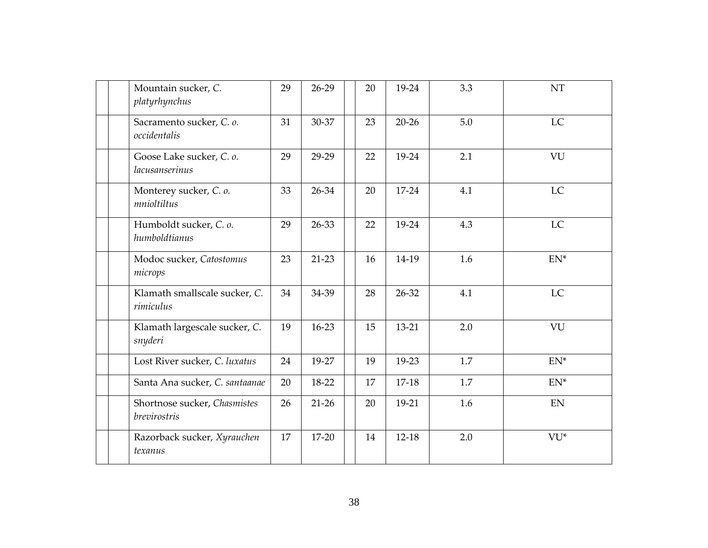| Mountain sucker, C.<br>platyrhynchus         | 29 | $26-29$ | 20 | 19-24     | 3.3 | NT                         |
|----------------------------------------------|----|---------|----|-----------|-----|----------------------------|
| Sacramento sucker, C. o.<br>occidentalis     | 31 | 30-37   | 23 | $20 - 26$ | 5.0 | LC                         |
| Goose Lake sucker, C. o.<br>lacusanserinus   | 29 | 29-29   | 22 | 19-24     | 2.1 | VU                         |
| Monterey sucker, C. o.<br>mnioltiltus        | 33 | 26-34   | 20 | $17 - 24$ | 4.1 | <b>LC</b>                  |
| Humboldt sucker, C. o.<br>humboldtianus      | 29 | 26-33   | 22 | 19-24     | 4.3 | LC                         |
| Modoc sucker, Catostomus<br>microps          | 23 | $21-23$ | 16 | 14-19     | 1.6 | $EN^*$                     |
| Klamath smallscale sucker, C.<br>rimiculus   | 34 | 34-39   | 28 | 26-32     | 4.1 | <b>LC</b>                  |
| Klamath largescale sucker, C.<br>snyderi     | 19 | 16-23   | 15 | 13-21     | 2.0 | VU                         |
| Lost River sucker, C. luxatus                | 24 | 19-27   | 19 | 19-23     | 1.7 | $EN^*$                     |
| Santa Ana sucker, C. santaanae               | 20 | 18-22   | 17 | 17-18     | 1.7 | $EN^*$                     |
| Shortnose sucker, Chasmistes<br>brevirostris | 26 | $21-26$ | 20 | 19-21     | 1.6 | $\mathop{\rm EN}\nolimits$ |
| Razorback sucker, Xyrauchen<br>texanus       | 17 | 17-20   | 14 | $12-18$   | 2.0 | VU*                        |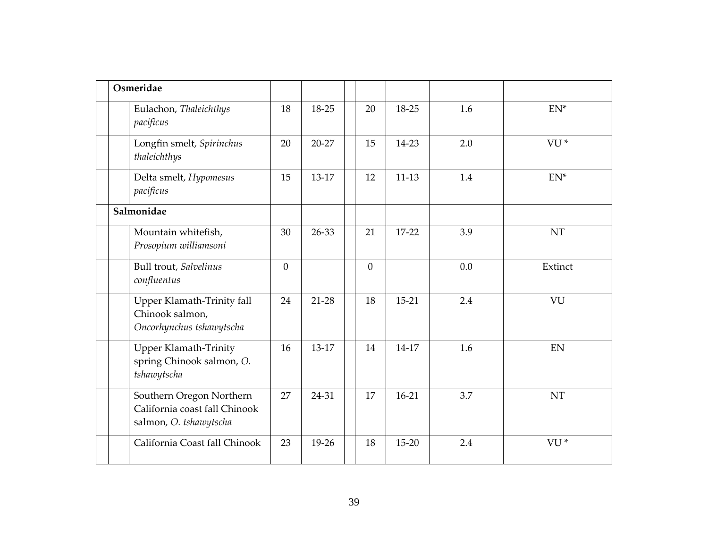| Osmeridae                                                                           |                |         |                |           |     |                 |
|-------------------------------------------------------------------------------------|----------------|---------|----------------|-----------|-----|-----------------|
| Eulachon, Thaleichthys<br>pacificus                                                 | 18             | 18-25   | 20             | 18-25     | 1.6 | $EN^*$          |
| Longfin smelt, Spirinchus<br>thaleichthys                                           | 20             | 20-27   | 15             | 14-23     | 2.0 | VU <sup>*</sup> |
| Delta smelt, Hypomesus<br>pacificus                                                 | 15             | 13-17   | 12             | $11-13$   | 1.4 | $EN^*$          |
| Salmonidae                                                                          |                |         |                |           |     |                 |
| Mountain whitefish,<br>Prosopium williamsoni                                        | 30             | 26-33   | 21             | 17-22     | 3.9 | <b>NT</b>       |
| Bull trout, Salvelinus<br>confluentus                                               | $\overline{0}$ |         | $\overline{0}$ |           | 0.0 | Extinct         |
| Upper Klamath-Trinity fall<br>Chinook salmon,<br>Oncorhynchus tshawytscha           | 24             | $21-28$ | 18             | $15 - 21$ | 2.4 | VU              |
| Upper Klamath-Trinity<br>spring Chinook salmon, O.<br>tshawytscha                   | 16             | 13-17   | 14             | 14-17     | 1.6 | EN              |
| Southern Oregon Northern<br>California coast fall Chinook<br>salmon, O. tshawytscha | 27             | 24-31   | 17             | $16-21$   | 3.7 | <b>NT</b>       |
| California Coast fall Chinook                                                       | 23             | 19-26   | 18             | $15 - 20$ | 2.4 | VU <sup>*</sup> |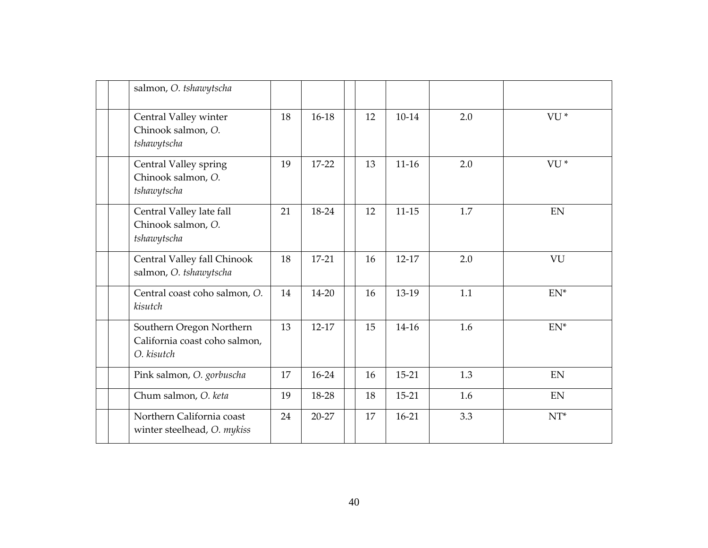| salmon, O. tshawytscha                                                  |    |         |    |           |     |                 |
|-------------------------------------------------------------------------|----|---------|----|-----------|-----|-----------------|
| Central Valley winter<br>Chinook salmon, O.<br>tshawytscha              | 18 | $16-18$ | 12 | $10-14$   | 2.0 | VU <sup>*</sup> |
| Central Valley spring<br>Chinook salmon, O.<br>tshawytscha              | 19 | 17-22   | 13 | $11-16$   | 2.0 | VU <sup>*</sup> |
| Central Valley late fall<br>Chinook salmon, O.<br>tshawytscha           | 21 | 18-24   | 12 | $11 - 15$ | 1.7 | EN              |
| Central Valley fall Chinook<br>salmon, O. tshawytscha                   | 18 | $17-21$ | 16 | 12-17     | 2.0 | VU              |
| Central coast coho salmon, O.<br>kisutch                                | 14 | 14-20   | 16 | 13-19     | 1.1 | $EN^*$          |
| Southern Oregon Northern<br>California coast coho salmon,<br>O. kisutch | 13 | $12-17$ | 15 | 14-16     | 1.6 | $EN^*$          |
| Pink salmon, O. gorbuscha                                               | 17 | 16-24   | 16 | $15 - 21$ | 1.3 | EN              |
| Chum salmon, O. keta                                                    | 19 | 18-28   | 18 | 15-21     | 1.6 | <b>EN</b>       |
| Northern California coast<br>winter steelhead, O. mykiss                | 24 | 20-27   | 17 | $16-21$   | 3.3 | $NT^*$          |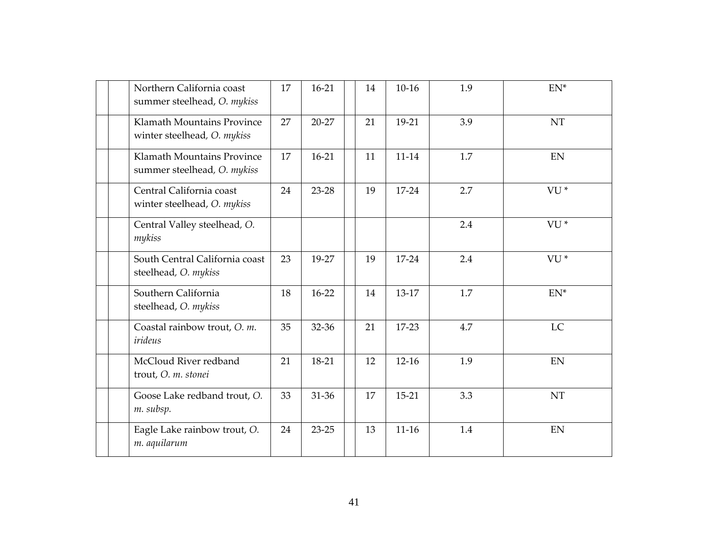|  | Northern California coast<br>summer steelhead, O. mykiss  | 17 | $16 - 21$ | 14 | $10-16$   | 1.9 | $EN^*$          |
|--|-----------------------------------------------------------|----|-----------|----|-----------|-----|-----------------|
|  | Klamath Mountains Province<br>winter steelhead, O. mykiss | 27 | $20 - 27$ | 21 | 19-21     | 3.9 | <b>NT</b>       |
|  | Klamath Mountains Province<br>summer steelhead, O. mykiss | 17 | $16-21$   | 11 | $11 - 14$ | 1.7 | EN              |
|  | Central California coast<br>winter steelhead, O. mykiss   | 24 | 23-28     | 19 | 17-24     | 2.7 | VU <sup>*</sup> |
|  | Central Valley steelhead, O.<br>mykiss                    |    |           |    |           | 2.4 | VU <sup>*</sup> |
|  | South Central California coast<br>steelhead, O. mykiss    | 23 | 19-27     | 19 | 17-24     | 2.4 | VU <sup>*</sup> |
|  | Southern California<br>steelhead, O. mykiss               | 18 | $16-22$   | 14 | 13-17     | 1.7 | $EN^*$          |
|  | Coastal rainbow trout, O. m.<br>irideus                   | 35 | 32-36     | 21 | 17-23     | 4.7 | LC              |
|  | McCloud River redband<br>trout, O. m. stonei              | 21 | 18-21     | 12 | $12-16$   | 1.9 | EN              |
|  | Goose Lake redband trout, O.<br>m. subsp.                 | 33 | 31-36     | 17 | $15 - 21$ | 3.3 | NT              |
|  | Eagle Lake rainbow trout, O.<br>m. aquilarum              | 24 | $23 - 25$ | 13 | $11 - 16$ | 1.4 | EN              |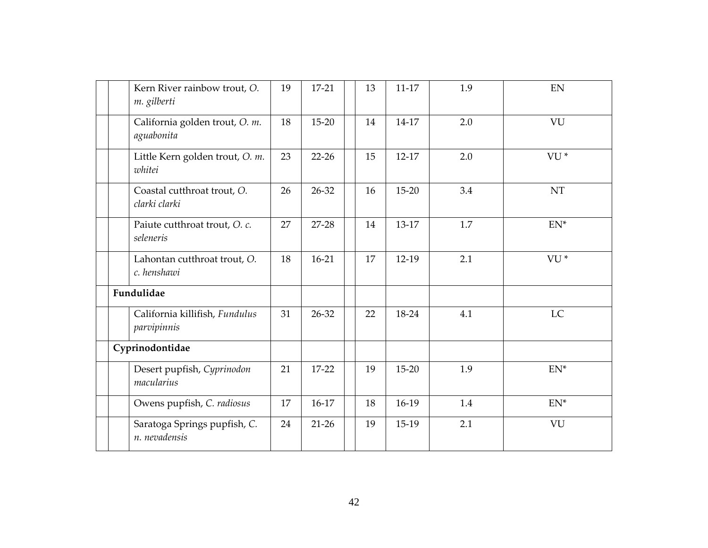|  | Kern River rainbow trout, O.<br>m. gilberti   | 19 | $17-21$   | 13 | $11 - 17$ | 1.9 | EN              |
|--|-----------------------------------------------|----|-----------|----|-----------|-----|-----------------|
|  | California golden trout, O. m.<br>aguabonita  | 18 | 15-20     | 14 | 14-17     | 2.0 | VU              |
|  | Little Kern golden trout, O. m.<br>whitei     | 23 | $22 - 26$ | 15 | $12-17$   | 2.0 | VU <sup>*</sup> |
|  | Coastal cutthroat trout, O.<br>clarki clarki  | 26 | 26-32     | 16 | $15 - 20$ | 3.4 | <b>NT</b>       |
|  | Paiute cutthroat trout, O. c.<br>seleneris    | 27 | 27-28     | 14 | 13-17     | 1.7 | $EN^*$          |
|  | Lahontan cutthroat trout, O.<br>c. henshawi   | 18 | $16 - 21$ | 17 | $12-19$   | 2.1 | VU <sup>*</sup> |
|  | Fundulidae                                    |    |           |    |           |     |                 |
|  | California killifish, Fundulus<br>parvipinnis | 31 | 26-32     | 22 | 18-24     | 4.1 | LC              |
|  | Cyprinodontidae                               |    |           |    |           |     |                 |
|  | Desert pupfish, Cyprinodon<br>macularius      | 21 | 17-22     | 19 | 15-20     | 1.9 | $EN^*$          |
|  | Owens pupfish, C. radiosus                    | 17 | $16-17$   | 18 | 16-19     | 1.4 | $EN^*$          |
|  | Saratoga Springs pupfish, C.<br>n. nevadensis | 24 | $21-26$   | 19 | 15-19     | 2.1 | VU              |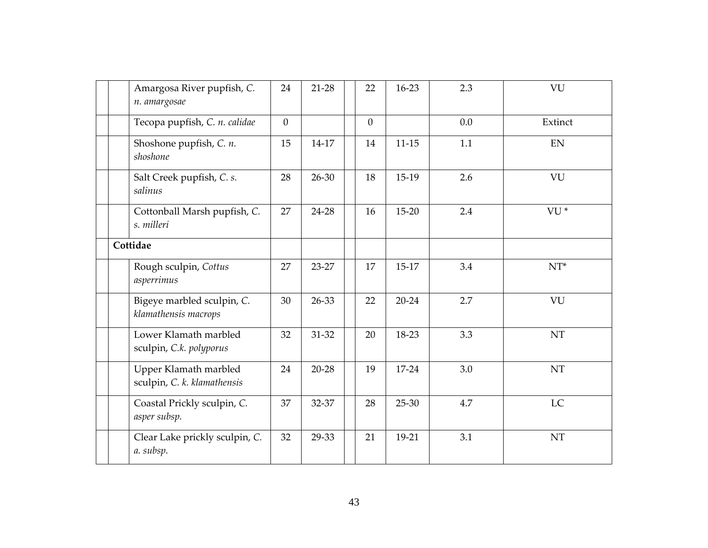|  | Amargosa River pupfish, C.<br>n. amargosae           | 24           | 21-28     | 22           | 16-23     | 2.3 | VU              |
|--|------------------------------------------------------|--------------|-----------|--------------|-----------|-----|-----------------|
|  | Tecopa pupfish, C. n. calidae                        | $\mathbf{0}$ |           | $\mathbf{0}$ |           | 0.0 | Extinct         |
|  | Shoshone pupfish, C. n.<br>shoshone                  | 15           | 14-17     | 14           | $11 - 15$ | 1.1 | <b>EN</b>       |
|  | Salt Creek pupfish, C. s.<br>salinus                 | 28           | 26-30     | 18           | 15-19     | 2.6 | VU              |
|  | Cottonball Marsh pupfish, C.<br>s. milleri           | 27           | 24-28     | 16           | $15 - 20$ | 2.4 | VU <sup>*</sup> |
|  | Cottidae                                             |              |           |              |           |     |                 |
|  | Rough sculpin, Cottus<br>asperrimus                  | 27           | 23-27     | 17           | 15-17     | 3.4 | $NT^*$          |
|  | Bigeye marbled sculpin, C.<br>klamathensis macrops   | 30           | 26-33     | 22           | $20 - 24$ | 2.7 | VU              |
|  | Lower Klamath marbled<br>sculpin, C.k. polyporus     | 32           | 31-32     | 20           | 18-23     | 3.3 | <b>NT</b>       |
|  | Upper Klamath marbled<br>sculpin, C. k. klamathensis | 24           | $20 - 28$ | 19           | 17-24     | 3.0 | NT              |
|  | Coastal Prickly sculpin, C.<br>asper subsp.          | 37           | 32-37     | 28           | 25-30     | 4.7 | LC              |
|  | Clear Lake prickly sculpin, C.<br>a. subsp.          | 32           | 29-33     | 21           | 19-21     | 3.1 | NT              |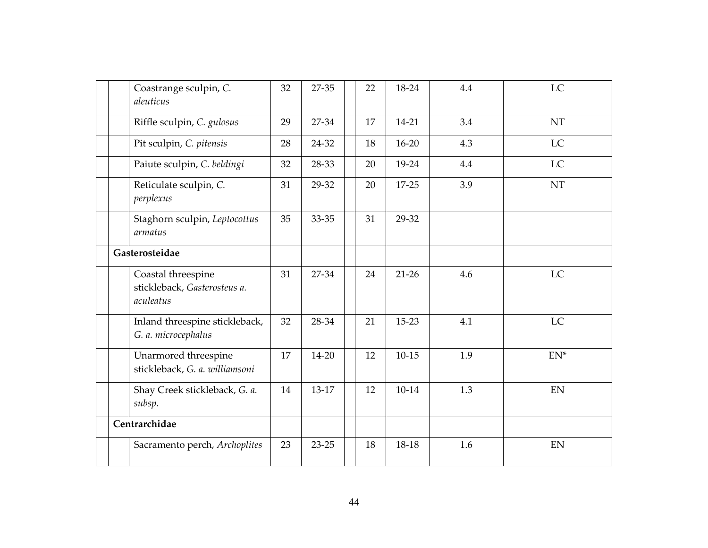|  | Coastrange sculpin, C.<br>aleuticus                             | 32 | 27-35     | 22 | 18-24     | 4.4 | LC                         |
|--|-----------------------------------------------------------------|----|-----------|----|-----------|-----|----------------------------|
|  | Riffle sculpin, C. gulosus                                      | 29 | 27-34     | 17 | 14-21     | 3.4 | $\mathop{\rm NT}\nolimits$ |
|  | Pit sculpin, C. pitensis                                        | 28 | 24-32     | 18 | $16 - 20$ | 4.3 | LC                         |
|  | Paiute sculpin, C. beldingi                                     | 32 | 28-33     | 20 | 19-24     | 4.4 | LC                         |
|  | Reticulate sculpin, C.<br>perplexus                             | 31 | 29-32     | 20 | 17-25     | 3.9 | <b>NT</b>                  |
|  | Staghorn sculpin, Leptocottus<br>armatus                        | 35 | 33-35     | 31 | 29-32     |     |                            |
|  | Gasterosteidae                                                  |    |           |    |           |     |                            |
|  | Coastal threespine<br>stickleback, Gasterosteus a.<br>aculeatus | 31 | 27-34     | 24 | $21-26$   | 4.6 | LC                         |
|  | Inland threespine stickleback,<br>G. a. microcephalus           | 32 | 28-34     | 21 | 15-23     | 4.1 | LC                         |
|  | Unarmored threespine<br>stickleback, G. a. williamsoni          | 17 | 14-20     | 12 | $10 - 15$ | 1.9 | $EN^*$                     |
|  | Shay Creek stickleback, G. a.<br>subsp.                         | 14 | 13-17     | 12 | $10-14$   | 1.3 | <b>EN</b>                  |
|  | Centrarchidae                                                   |    |           |    |           |     |                            |
|  | Sacramento perch, Archoplites                                   | 23 | $23 - 25$ | 18 | 18-18     | 1.6 | $\mathop{\rm EN}\nolimits$ |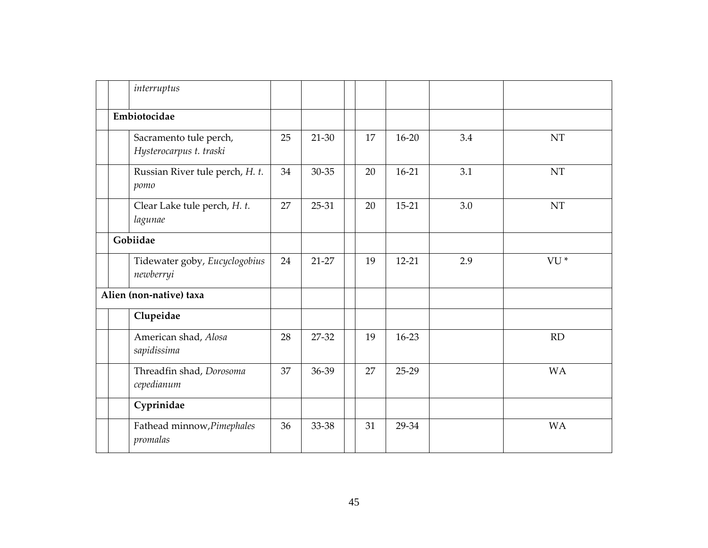|  | interruptus                                       |    |         |    |           |     |                 |
|--|---------------------------------------------------|----|---------|----|-----------|-----|-----------------|
|  | Embiotocidae                                      |    |         |    |           |     |                 |
|  | Sacramento tule perch,<br>Hysterocarpus t. traski | 25 | 21-30   | 17 | $16 - 20$ | 3.4 | NT              |
|  | Russian River tule perch, H. t.<br>pomo           | 34 | 30-35   | 20 | $16-21$   | 3.1 | NT              |
|  | Clear Lake tule perch, H. t.<br>lagunae           | 27 | $25-31$ | 20 | $15 - 21$ | 3.0 | NT              |
|  | Gobiidae                                          |    |         |    |           |     |                 |
|  | Tidewater goby, Eucyclogobius<br>newberryi        | 24 | $21-27$ | 19 | $12 - 21$ | 2.9 | VU <sup>*</sup> |
|  | Alien (non-native) taxa                           |    |         |    |           |     |                 |
|  | Clupeidae                                         |    |         |    |           |     |                 |
|  | American shad, Alosa<br>sapidissima               | 28 | 27-32   | 19 | $16-23$   |     | <b>RD</b>       |
|  | Threadfin shad, Dorosoma<br>cepedianum            | 37 | 36-39   | 27 | $25-29$   |     | <b>WA</b>       |
|  | Cyprinidae                                        |    |         |    |           |     |                 |
|  | Fathead minnow, Pimephales<br>promalas            | 36 | 33-38   | 31 | 29-34     |     | <b>WA</b>       |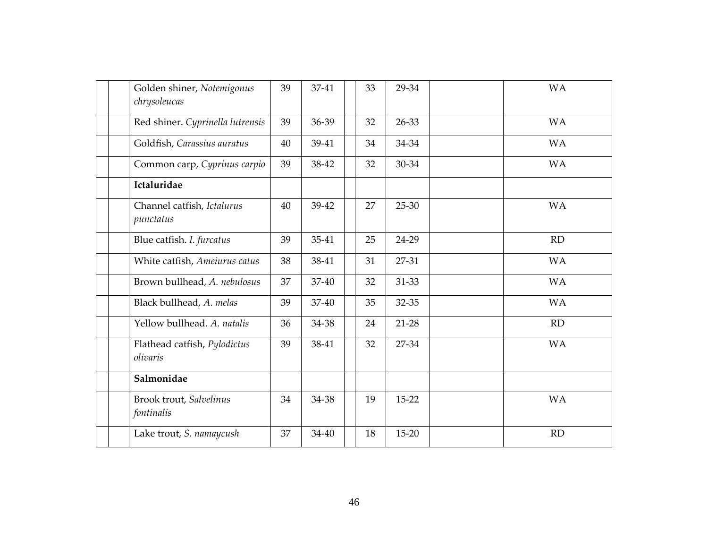| Golden shiner, Notemigonus<br>chrysoleucas | 39 | 37-41 | 33 | 29-34     | <b>WA</b> |
|--------------------------------------------|----|-------|----|-----------|-----------|
| Red shiner. Cyprinella lutrensis           | 39 | 36-39 | 32 | 26-33     | <b>WA</b> |
| Goldfish, Carassius auratus                | 40 | 39-41 | 34 | 34-34     | <b>WA</b> |
| Common carp, Cyprinus carpio               | 39 | 38-42 | 32 | 30-34     | <b>WA</b> |
| Ictaluridae                                |    |       |    |           |           |
| Channel catfish, Ictalurus<br>punctatus    | 40 | 39-42 | 27 | 25-30     | <b>WA</b> |
| Blue catfish. I. furcatus                  | 39 | 35-41 | 25 | 24-29     | <b>RD</b> |
| White catfish, Ameiurus catus              | 38 | 38-41 | 31 | 27-31     | <b>WA</b> |
| Brown bullhead, A. nebulosus               | 37 | 37-40 | 32 | 31-33     | <b>WA</b> |
| Black bullhead, A. melas                   | 39 | 37-40 | 35 | 32-35     | <b>WA</b> |
| Yellow bullhead. A. natalis                | 36 | 34-38 | 24 | 21-28     | <b>RD</b> |
| Flathead catfish, Pylodictus<br>olivaris   | 39 | 38-41 | 32 | 27-34     | <b>WA</b> |
| Salmonidae                                 |    |       |    |           |           |
| Brook trout, Salvelinus<br>fontinalis      | 34 | 34-38 | 19 | 15-22     | <b>WA</b> |
| Lake trout, S. namaycush                   | 37 | 34-40 | 18 | $15 - 20$ | <b>RD</b> |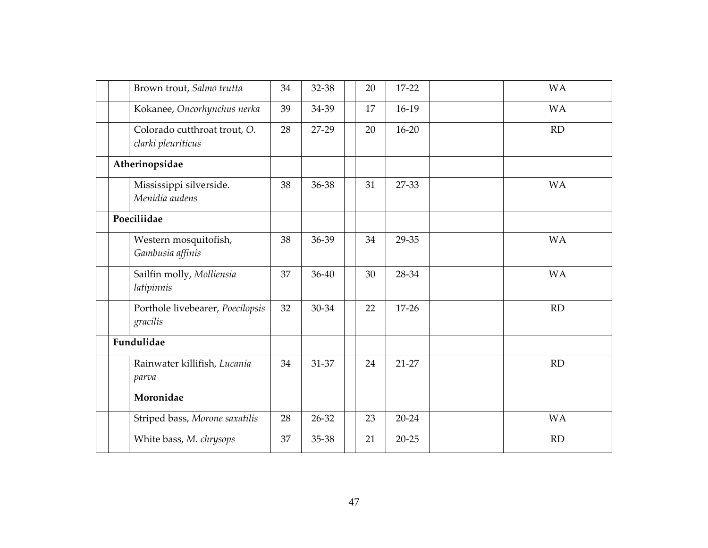|  | Brown trout, Salmo trutta                          | 34 | 32-38 | 20 | 17-22     | <b>WA</b> |
|--|----------------------------------------------------|----|-------|----|-----------|-----------|
|  | Kokanee, Oncorhynchus nerka                        | 39 | 34-39 | 17 | $16-19$   | <b>WA</b> |
|  | Colorado cutthroat trout, O.<br>clarki pleuriticus | 28 | 27-29 | 20 | $16 - 20$ | RD        |
|  | Atherinopsidae                                     |    |       |    |           |           |
|  | Mississippi silverside.<br>Menidia audens          | 38 | 36-38 | 31 | 27-33     | <b>WA</b> |
|  | Poeciliidae                                        |    |       |    |           |           |
|  | Western mosquitofish,<br>Gambusia affinis          | 38 | 36-39 | 34 | 29-35     | <b>WA</b> |
|  | Sailfin molly, Molliensia<br>latipinnis            | 37 | 36-40 | 30 | 28-34     | <b>WA</b> |
|  | Porthole livebearer, Poecilopsis<br>gracilis       | 32 | 30-34 | 22 | $17 - 26$ | RD        |
|  | Fundulidae                                         |    |       |    |           |           |
|  | Rainwater killifish, Lucania<br>parva              | 34 | 31-37 | 24 | 21-27     | RD        |
|  | Moronidae                                          |    |       |    |           |           |
|  | Striped bass, Morone saxatilis                     | 28 | 26-32 | 23 | $20 - 24$ | <b>WA</b> |
|  | White bass, M. chrysops                            | 37 | 35-38 | 21 | $20 - 25$ | <b>RD</b> |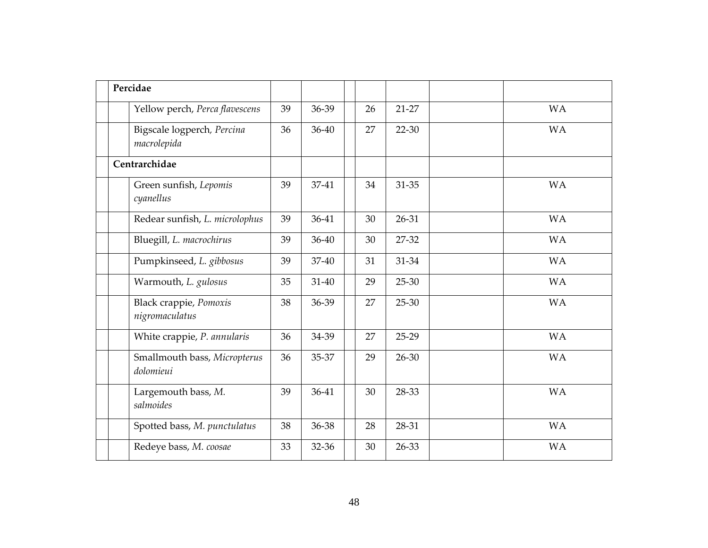|  | Percidae                                  |    |           |    |           |           |
|--|-------------------------------------------|----|-----------|----|-----------|-----------|
|  | Yellow perch, Perca flavescens            | 39 | 36-39     | 26 | 21-27     | <b>WA</b> |
|  | Bigscale logperch, Percina<br>macrolepida | 36 | $36 - 40$ | 27 | $22 - 30$ | <b>WA</b> |
|  | Centrarchidae                             |    |           |    |           |           |
|  | Green sunfish, Lepomis<br>cyanellus       | 39 | 37-41     | 34 | 31-35     | <b>WA</b> |
|  | Redear sunfish, L. microlophus            | 39 | 36-41     | 30 | 26-31     | <b>WA</b> |
|  | Bluegill, L. macrochirus                  | 39 | 36-40     | 30 | 27-32     | <b>WA</b> |
|  | Pumpkinseed, L. gibbosus                  | 39 | 37-40     | 31 | 31-34     | <b>WA</b> |
|  | Warmouth, L. gulosus                      | 35 | $31 - 40$ | 29 | 25-30     | <b>WA</b> |
|  | Black crappie, Pomoxis<br>nigromaculatus  | 38 | 36-39     | 27 | $25 - 30$ | <b>WA</b> |
|  | White crappie, P. annularis               | 36 | 34-39     | 27 | 25-29     | <b>WA</b> |
|  | Smallmouth bass, Micropterus<br>dolomieui | 36 | 35-37     | 29 | 26-30     | <b>WA</b> |
|  | Largemouth bass, M.<br>salmoides          | 39 | 36-41     | 30 | 28-33     | <b>WA</b> |
|  | Spotted bass, M. punctulatus              | 38 | 36-38     | 28 | 28-31     | <b>WA</b> |
|  | Redeye bass, M. coosae                    | 33 | 32-36     | 30 | 26-33     | <b>WA</b> |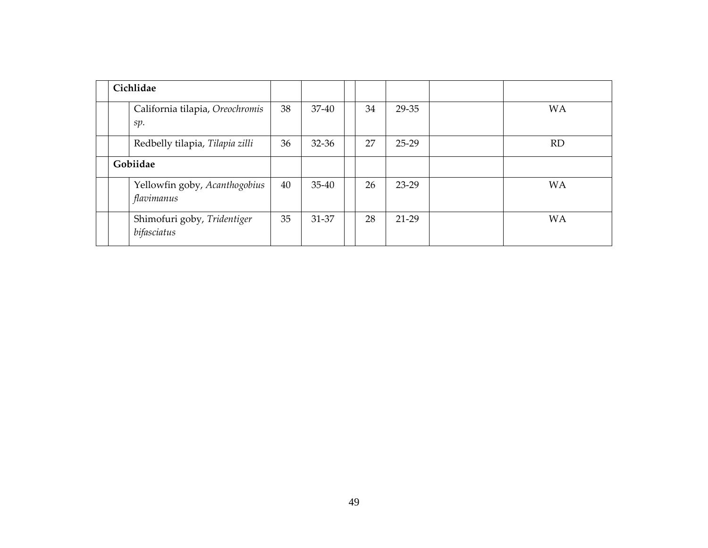|          | Cichlidae                                   |    |           |    |         |           |
|----------|---------------------------------------------|----|-----------|----|---------|-----------|
|          | California tilapia, Oreochromis<br>sp.      | 38 | 37-40     | 34 | 29-35   | <b>WA</b> |
|          | Redbelly tilapia, Tilapia zilli             | 36 | $32 - 36$ | 27 | $25-29$ | <b>RD</b> |
| Gobiidae |                                             |    |           |    |         |           |
|          | Yellowfin goby, Acanthogobius<br>flavimanus | 40 | $35 - 40$ | 26 | $23-29$ | <b>WA</b> |
|          | Shimofuri goby, Tridentiger<br>bifasciatus  | 35 | 31-37     | 28 | 21-29   | <b>WA</b> |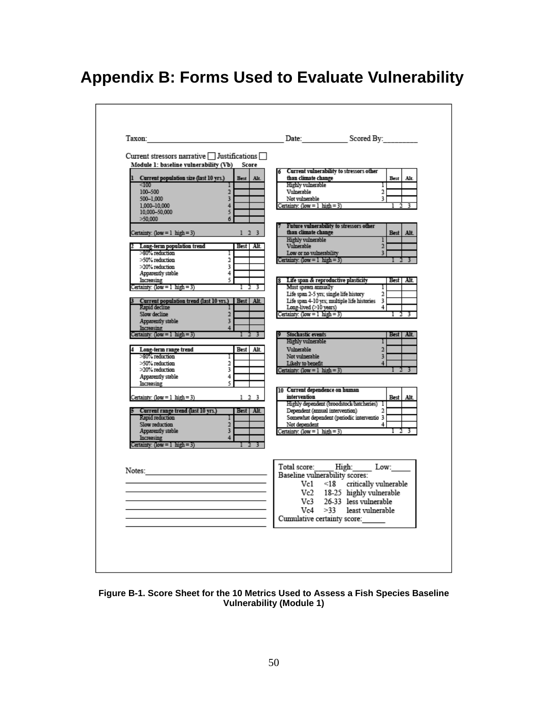## **Appendix B: Forms Used to Evaluate Vulnerability**

| Current stressors narrative $\Box$ Justifications $\Box$                                                                                                                                                                                                                                                                                                                                                                                                                                                                                                                                                                                                                                                                                                                                                                                                       |                                                                                                                                                                                                                                                                                                                                                                                                                                                                                                                                                                                                                                                                                                                                                                                                                                                                                                                                                                 |
|----------------------------------------------------------------------------------------------------------------------------------------------------------------------------------------------------------------------------------------------------------------------------------------------------------------------------------------------------------------------------------------------------------------------------------------------------------------------------------------------------------------------------------------------------------------------------------------------------------------------------------------------------------------------------------------------------------------------------------------------------------------------------------------------------------------------------------------------------------------|-----------------------------------------------------------------------------------------------------------------------------------------------------------------------------------------------------------------------------------------------------------------------------------------------------------------------------------------------------------------------------------------------------------------------------------------------------------------------------------------------------------------------------------------------------------------------------------------------------------------------------------------------------------------------------------------------------------------------------------------------------------------------------------------------------------------------------------------------------------------------------------------------------------------------------------------------------------------|
| Module 1: baseline vulnerability (Vb)<br>Score<br>Current population size (last 10 yrs.)<br>Best<br>Alt.<br>< 100<br>100-500<br>$\overline{a}$<br>3<br>500-1.000<br>1,000-10,000<br>4<br>10.000-50.000<br>5<br>>50,000<br>6<br>$1 \t2 \t3$<br>Certainty: $(low = 1 high = 3)$<br>Long-term population trend<br>Best Alt.<br>>80% reduction<br>ı<br>>50% reduction<br>2<br>>20% reduction<br>3<br>Apparently stable<br>4<br>5<br>Increasing<br>Certainty: (low = 1 high = 3)<br>Current population trend (last 10 yrs.) Best   Alt.<br>Rapid decline<br>Slow decline<br>2<br>Apparently stable<br>3<br>4<br>Increasing<br>Certainty: (low = 1 high = 3)<br>Best Alt.<br>Long-term range trend<br>>80% reduction<br>Γ<br>>50% reduction<br>2<br>3<br>>20% reduction<br>4<br>Apparently stable<br>5<br>Increasing<br>$1 \t2 \t3$<br>Certainty: (low = 1 high = 3) | Current vulnerability to stressors other<br>than climate change<br>Best<br>Alt.<br>Highly vulnerable<br>Τ<br>Vulnerable<br>$\overline{a}$<br>3<br>Not vulnerable<br>Certainty: $(low = 1)$ high = 3)<br>Future vulnerability to stressors other<br>than climate change<br><b>Best</b><br>Alt.<br>Highly vulnerable<br>ı<br>Vulnerable<br>$\overline{a}$<br>Low or no vulnerability<br>3<br>Certainty: $(low = 1)$ high = 3)<br>Life span & reproductive plasticity<br>Best   Alt.<br>Must spawn annually<br>Ι<br>Life span 2-5 yrs; single life history<br>$\mathfrak{D}$<br>Life span 4-10 yrs; multiple life histories 3<br>Long-lived (>10 years)<br>4<br>Certainty: $(low = 1 high = 3)$<br><b>Stochastic events</b><br>Best   Alt.<br>Highly vulnerable<br>п<br>Vulnerable<br>$\mathfrak{D}$<br>Not vulnerable<br>3<br>Likely to benefit<br>4<br>Certainty: $(low = 1)$ high = 3)<br>10 Current dependence on human<br>intervention<br><b>Best</b><br>Alt. |
| Current range trend (last 10 yrs.)<br>Best Alt.<br>Rapid reduction<br>2<br>Slow reduction<br>3<br>Apparently stable<br>Increasing<br>4<br>Certainty: $(low = 1 high = 3)$                                                                                                                                                                                                                                                                                                                                                                                                                                                                                                                                                                                                                                                                                      | Highly dependent (broodstock/hatcheries) 1<br>Dependent (annual intervention)<br>$\mathfrak{D}$<br>Somewhat dependent (periodic interventio 3<br>Not dependent<br>4<br>Certainty: (low = 1 high = 3)<br>Total score: High: Low:<br>Baseline vulnerability scores:<br>$Vc1$ <18 critically vulnerable<br>Vc2 18-25 highly vulnerable<br>Vc3<br>26-33 less vulnerable<br>Vc4<br>$>33$ least vulnerable<br>Cumulative certainty score:                                                                                                                                                                                                                                                                                                                                                                                                                                                                                                                             |

**Figure B-1. Score Sheet for the 10 Metrics Used to Assess a Fish Species Baseline Vulnerability (Module 1)**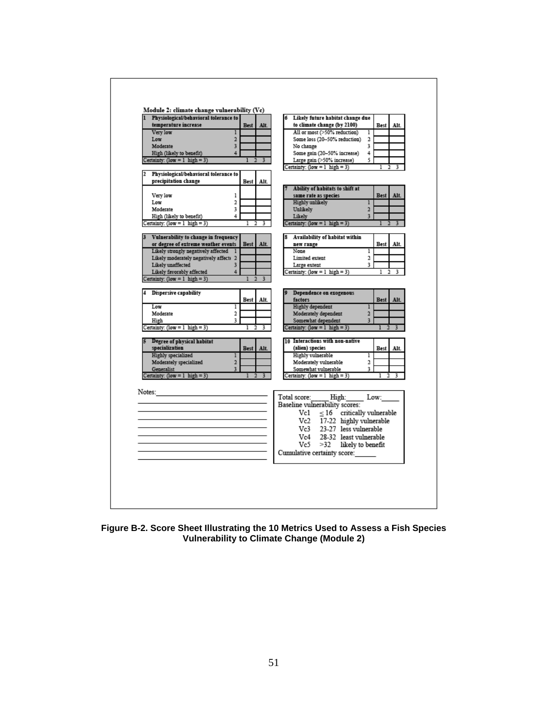| Physiological/behavioral tolerance to   |                         |             |        |                   | Likely future habitat change due                                   |                |             |        |
|-----------------------------------------|-------------------------|-------------|--------|-------------------|--------------------------------------------------------------------|----------------|-------------|--------|
| temperature increase                    |                         | <b>Best</b> | Alt.   |                   | to climate change (by 2100)                                        |                | Best        | Alt.   |
| Very low                                | ı                       |             |        |                   | All or most (>50% reduction)                                       | ī              |             |        |
| Low                                     | $\overline{2}$          |             |        |                   | Some loss (20-50% reduction)                                       | 2              |             |        |
| Moderate                                | 3                       |             |        | No change         |                                                                    | 3              |             |        |
| High (likely to benefit)                | Δ                       |             |        |                   | Some gain (20-50% increase)                                        | 4              |             |        |
| Certainty: (low = $1$ high = 3)         |                         |             |        |                   | Large gain (>50% increase)                                         | 5.             |             |        |
|                                         |                         |             |        |                   | Certainty: $(low = 1)$ high = 3)                                   |                |             |        |
| 2 Physiological/behavioral tolerance to |                         |             |        |                   |                                                                    |                |             |        |
| precipitation change                    |                         | <b>Best</b> | Alt.   |                   |                                                                    |                |             |        |
|                                         |                         |             |        |                   | Ability of habitats to shift at                                    |                |             |        |
| Very low                                | ı                       |             |        |                   | same rate as species                                               |                | <b>Best</b> | Alt.   |
| Low                                     | $\overline{\mathbf{2}}$ |             |        | Highly unlikely   |                                                                    | ı              |             |        |
| Moderate                                | 3                       |             |        | Unlikely          |                                                                    | $\overline{2}$ |             |        |
| High (likely to benefit)                | 4                       |             |        | Likely            |                                                                    | 3              |             |        |
| Certainty: $(low = 1)$ high = 3)        |                         |             | 3      |                   | Certainty: $(low = 1)$ high = 3)                                   |                |             | 3      |
| 3 Vulnerability to change in frequency  |                         |             |        |                   | Availability of habitat within                                     |                |             |        |
| or degree of extreme weather events     |                         | <b>Best</b> | Alt.   | new range         |                                                                    |                | Best        | Alt.   |
| Likely strongly negatively affected     |                         |             |        | None              |                                                                    | $\overline{1}$ |             |        |
| Likely moderately negatively affect: 2  |                         |             |        | Limited extent    |                                                                    | 2              |             |        |
| Likely unaffected                       | 3                       |             |        | Large extent      |                                                                    | 3              |             |        |
| Likely favorably affected               | 4                       |             |        |                   | Certainty: $(low = 1)$ high = 3)                                   |                | ı           | 3<br>2 |
| Certainty: $(low = 1)$ high = 3)        |                         |             | 3      |                   |                                                                    |                |             |        |
|                                         |                         |             |        |                   |                                                                    |                |             |        |
| 4 Dispersive capability                 |                         |             |        |                   | Dependence on exogenous                                            |                |             |        |
|                                         |                         | Best        | Alt.   | factors           |                                                                    |                | <b>Best</b> | Alt.   |
| Low                                     | ı                       |             |        | Highly dependent  |                                                                    | 1              |             |        |
| Moderate                                | 2                       |             |        |                   | Moderately dependent                                               | $\overline{a}$ |             |        |
| High                                    | 3                       |             |        |                   | Somewhat dependent                                                 | 3              |             |        |
| Certainty: $(low = 1)$ high = 3)        |                         | ı           | 3<br>2 |                   | Certainty: $(low = 1)$ high = 3)                                   |                |             | 3      |
| 5 Degree of physical habitat            |                         |             |        |                   | 10 Interactions with non-native                                    |                |             |        |
| specialization                          |                         | <b>Best</b> | Alt.   | (alien) species   |                                                                    |                | Best        | Alt.   |
| Highly specialized                      | ı                       |             |        | Highly vulnerable |                                                                    | ı              |             |        |
| Moderately specialized                  | $\overline{2}$          |             |        |                   | Moderately vulnerable                                              | 2              |             |        |
| Generalist                              | 3                       |             |        |                   | Somewhat vulnerable                                                | 3              |             |        |
| Certainty: $(low = 1)$ high = 3)        |                         |             |        |                   | Certainty: $(low = 1)$ high = 3)                                   |                |             | 3      |
|                                         |                         |             |        |                   |                                                                    |                |             |        |
| Notes:                                  |                         |             |        |                   |                                                                    |                |             |        |
|                                         |                         |             |        |                   | Total score: High:<br>Baseline vulnerability scores:<br>High: Low: |                |             |        |
|                                         |                         |             |        |                   |                                                                    |                |             |        |
|                                         |                         |             |        |                   | Vc1 $\leq$ 16 critically vulnerable                                |                |             |        |
|                                         |                         |             |        |                   | Vc2 17-22 highly vulnerable                                        |                |             |        |
|                                         |                         |             |        |                   | Vc3 23-27 less vulnerable                                          |                |             |        |
|                                         |                         |             |        | Vc4               | 28-32 least vulnerable                                             |                |             |        |
|                                         |                         |             |        | Vc5               | $>32$ likely to benefit                                            |                |             |        |
|                                         |                         |             |        |                   | Cumulative certainty score:                                        |                |             |        |
|                                         |                         |             |        |                   |                                                                    |                |             |        |
|                                         |                         |             |        |                   |                                                                    |                |             |        |
|                                         |                         |             |        |                   |                                                                    |                |             |        |
|                                         |                         |             |        |                   |                                                                    |                |             |        |
|                                         |                         |             |        |                   |                                                                    |                |             |        |

 $\sqrt{ }$ 

**Figure B-2. Score Sheet Illustrating the 10 Metrics Used to Assess a Fish Species Vulnerability to Climate Change (Module 2)**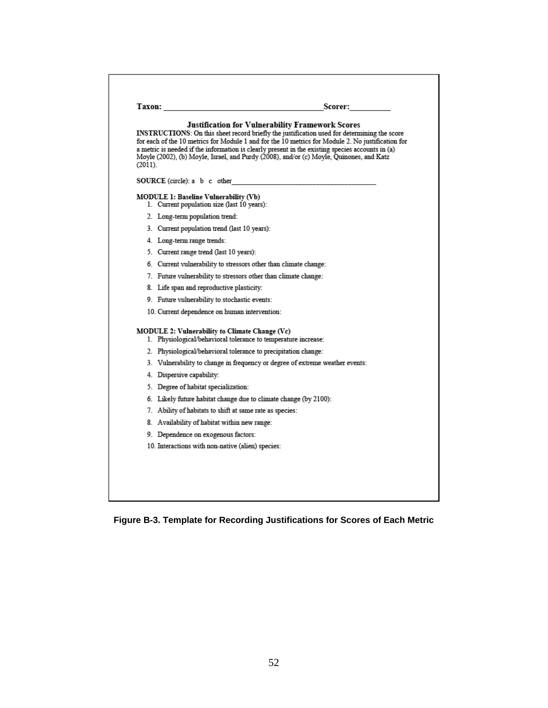| (2011). | <b>Justification for Vulnerability Framework Scores</b><br>INSTRUCTIONS: On this sheet record briefly the justification used for determining the score<br>for each of the 10 metrics for Module 1 and for the 10 metrics for Module 2. No justification for<br>a metric is needed if the information is clearly present in the existing species accounts in (a)<br>Moyle (2002), (b) Moyle, Israel, and Purdy (2008), and/or (c) Moyle, Quinones, and Katz |
|---------|------------------------------------------------------------------------------------------------------------------------------------------------------------------------------------------------------------------------------------------------------------------------------------------------------------------------------------------------------------------------------------------------------------------------------------------------------------|
|         | SOURCE (circle): a b c other                                                                                                                                                                                                                                                                                                                                                                                                                               |
|         | MODULE 1: Baseline Vulnerability (Vb)<br>1. Current population size (last 10 years):                                                                                                                                                                                                                                                                                                                                                                       |
|         | 2. Long-term population trend:                                                                                                                                                                                                                                                                                                                                                                                                                             |
|         | 3. Current population trend (last 10 years):                                                                                                                                                                                                                                                                                                                                                                                                               |
|         | 4. Long-term range trends:                                                                                                                                                                                                                                                                                                                                                                                                                                 |
|         | 5. Current range trend (last 10 years):                                                                                                                                                                                                                                                                                                                                                                                                                    |
|         | 6. Current vulnerability to stressors other than climate change:                                                                                                                                                                                                                                                                                                                                                                                           |
|         | 7. Future vulnerability to stressors other than climate change:                                                                                                                                                                                                                                                                                                                                                                                            |
|         | 8. Life span and reproductive plasticity:                                                                                                                                                                                                                                                                                                                                                                                                                  |
|         | 9. Future vulnerability to stochastic events:                                                                                                                                                                                                                                                                                                                                                                                                              |
|         | 10. Current dependence on human intervention:                                                                                                                                                                                                                                                                                                                                                                                                              |
|         | MODULE 2: Vulnerability to Climate Change (Vc)<br>1. Physiological/behavioral tolerance to temperature increase:                                                                                                                                                                                                                                                                                                                                           |
|         | 2. Physiological/behavioral tolerance to precipitation change:                                                                                                                                                                                                                                                                                                                                                                                             |
|         | 3. Vulnerability to change in frequency or degree of extreme weather events:                                                                                                                                                                                                                                                                                                                                                                               |
|         | 4. Dispersive capability:                                                                                                                                                                                                                                                                                                                                                                                                                                  |
|         | 5. Degree of habitat specialization:                                                                                                                                                                                                                                                                                                                                                                                                                       |
|         | 6. Likely future habitat change due to climate change (by 2100):                                                                                                                                                                                                                                                                                                                                                                                           |
|         | 7. Ability of habitats to shift at same rate as species:                                                                                                                                                                                                                                                                                                                                                                                                   |
|         | 8. Availability of habitat within new range:                                                                                                                                                                                                                                                                                                                                                                                                               |
|         | 9. Dependence on exogenous factors:                                                                                                                                                                                                                                                                                                                                                                                                                        |
|         | 10. Interactions with non-native (alien) species:                                                                                                                                                                                                                                                                                                                                                                                                          |
|         |                                                                                                                                                                                                                                                                                                                                                                                                                                                            |

**Figure B-3. Template for Recording Justifications for Scores of Each Metric**